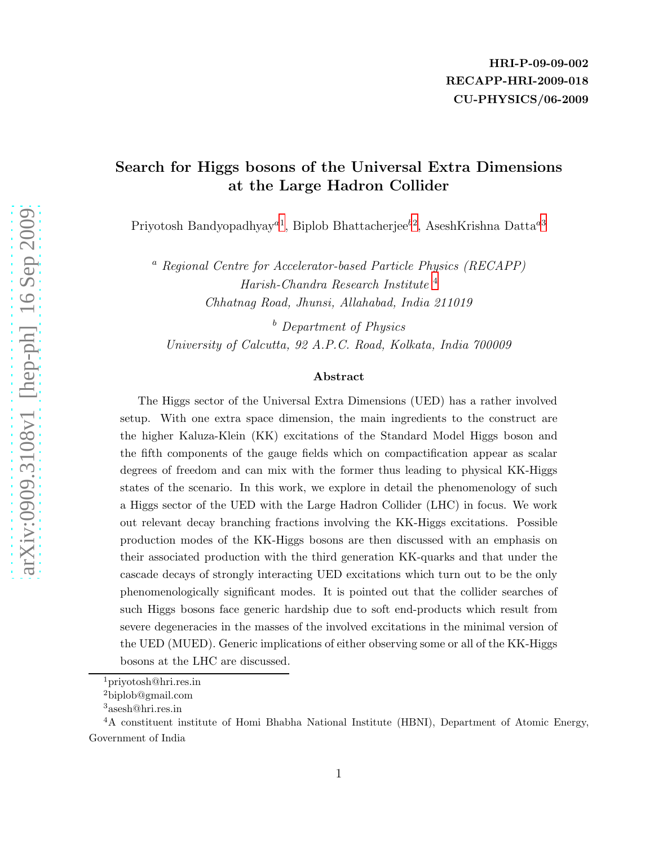#### Search for Higgs bosons of the Universal Extra Dimensions at the Large Hadron Collider

Priyotosh Bandyopadhyay<sup>a[1](#page-0-0)</sup>, Biplob Bhattacherjee<sup>b[2](#page-0-1)</sup>, AseshKrishna Datta<sup>a[3](#page-0-2)</sup>

<sup>a</sup> Regional Centre for Accelerator-based Particle Physics (RECAPP) Harish-Chandra Research Institute [4](#page-0-3) Chhatnag Road, Jhunsi, Allahabad, India 211019

<sup>b</sup> Department of Physics University of Calcutta, 92 A.P.C. Road, Kolkata, India 700009

#### Abstract

The Higgs sector of the Universal Extra Dimensions (UED) has a rather involved setup. With one extra space dimension, the main ingredients to the construct are the higher Kaluza-Klein (KK) excitations of the Standard Model Higgs boson and the fifth components of the gauge fields which on compactification appear as scalar degrees of freedom and can mix with the former thus leading to physical KK-Higgs states of the scenario. In this work, we explore in detail the phenomenology of such a Higgs sector of the UED with the Large Hadron Collider (LHC) in focus. We work out relevant decay branching fractions involving the KK-Higgs excitations. Possible production modes of the KK-Higgs bosons are then discussed with an emphasis on their associated production with the third generation KK-quarks and that under the cascade decays of strongly interacting UED excitations which turn out to be the only phenomenologically significant modes. It is pointed out that the collider searches of such Higgs bosons face generic hardship due to soft end-products which result from severe degeneracies in the masses of the involved excitations in the minimal version of the UED (MUED). Generic implications of either observing some or all of the KK-Higgs bosons at the LHC are discussed.

<sup>1</sup>priyotosh@hri.res.in

<span id="page-0-0"></span><sup>2</sup>biplob@gmail.com

<span id="page-0-2"></span><span id="page-0-1"></span><sup>3</sup>asesh@hri.res.in

<span id="page-0-3"></span><sup>4</sup>A constituent institute of Homi Bhabha National Institute (HBNI), Department of Atomic Energy, Government of India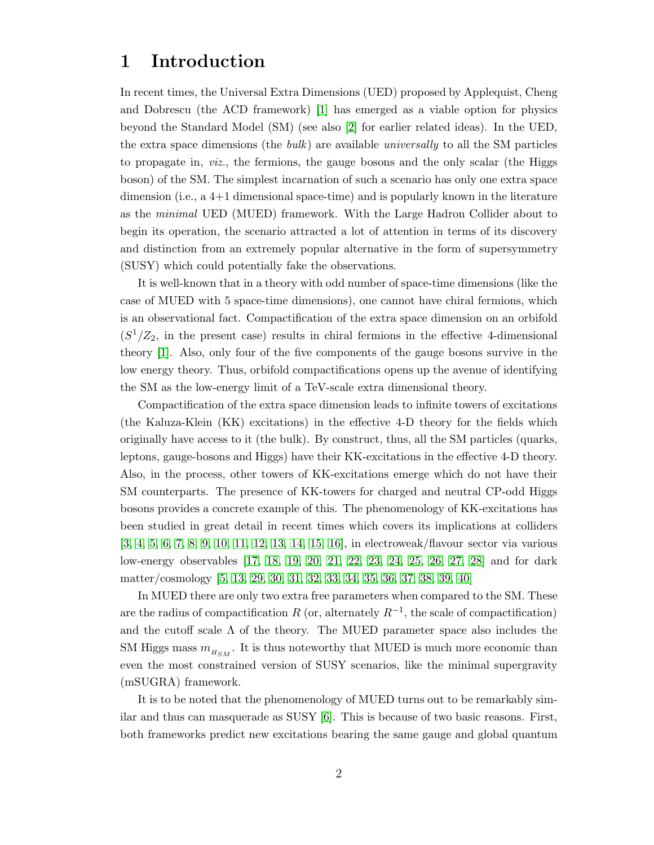### 1 Introduction

In recent times, the Universal Extra Dimensions (UED) proposed by Applequist, Cheng and Dobrescu (the ACD framework) [\[1\]](#page-21-0) has emerged as a viable option for physics beyond the Standard Model (SM) (see also [\[2\]](#page-21-1) for earlier related ideas). In the UED, the extra space dimensions (the bulk) are available universally to all the SM particles to propagate in, viz., the fermions, the gauge bosons and the only scalar (the Higgs boson) of the SM. The simplest incarnation of such a scenario has only one extra space dimension (i.e., a 4+1 dimensional space-time) and is popularly known in the literature as the minimal UED (MUED) framework. With the Large Hadron Collider about to begin its operation, the scenario attracted a lot of attention in terms of its discovery and distinction from an extremely popular alternative in the form of supersymmetry (SUSY) which could potentially fake the observations.

It is well-known that in a theory with odd number of space-time dimensions (like the case of MUED with 5 space-time dimensions), one cannot have chiral fermions, which is an observational fact. Compactification of the extra space dimension on an orbifold  $(S^1/Z_2)$ , in the present case) results in chiral fermions in the effective 4-dimensional theory [\[1\]](#page-21-0). Also, only four of the five components of the gauge bosons survive in the low energy theory. Thus, orbifold compactifications opens up the avenue of identifying the SM as the low-energy limit of a TeV-scale extra dimensional theory.

Compactification of the extra space dimension leads to infinite towers of excitations (the Kaluza-Klein (KK) excitations) in the effective 4-D theory for the fields which originally have access to it (the bulk). By construct, thus, all the SM particles (quarks, leptons, gauge-bosons and Higgs) have their KK-excitations in the effective 4-D theory. Also, in the process, other towers of KK-excitations emerge which do not have their SM counterparts. The presence of KK-towers for charged and neutral CP-odd Higgs bosons provides a concrete example of this. The phenomenology of KK-excitations has been studied in great detail in recent times which covers its implications at colliders [\[3,](#page-21-2) [4,](#page-21-3) [5,](#page-21-4) [6,](#page-21-5) [7,](#page-21-6) [8,](#page-21-7) [9,](#page-21-8) [10,](#page-21-9) [11,](#page-21-10) [12,](#page-21-11) [13,](#page-21-12) [14,](#page-21-13) [15,](#page-21-14) [16\]](#page-21-15), in electroweak/flavour sector via various low-energy observables [\[17,](#page-21-16) [18,](#page-21-17) [19,](#page-21-18) [20,](#page-22-0) [21,](#page-22-1) [22,](#page-22-2) [23,](#page-22-3) [24,](#page-22-4) [25,](#page-22-5) [26,](#page-22-6) [27,](#page-22-7) [28\]](#page-22-8) and for dark matter/cosmology [\[5,](#page-21-4) [13,](#page-21-12) [29,](#page-22-9) [30,](#page-22-10) [31,](#page-22-11) [32,](#page-22-12) [33,](#page-22-13) [34,](#page-22-14) [35,](#page-22-15) [36,](#page-22-16) [37,](#page-22-17) [38,](#page-22-18) [39,](#page-23-0) [40\]](#page-23-1)

In MUED there are only two extra free parameters when compared to the SM. These are the radius of compactification R (or, alternately  $R^{-1}$ , the scale of compactification) and the cutoff scale  $\Lambda$  of the theory. The MUED parameter space also includes the SM Higgs mass  $m_{H_{SM}}$ . It is thus noteworthy that MUED is much more economic than even the most constrained version of SUSY scenarios, like the minimal supergravity (mSUGRA) framework.

It is to be noted that the phenomenology of MUED turns out to be remarkably similar and thus can masquerade as SUSY [\[6\]](#page-21-5). This is because of two basic reasons. First, both frameworks predict new excitations bearing the same gauge and global quantum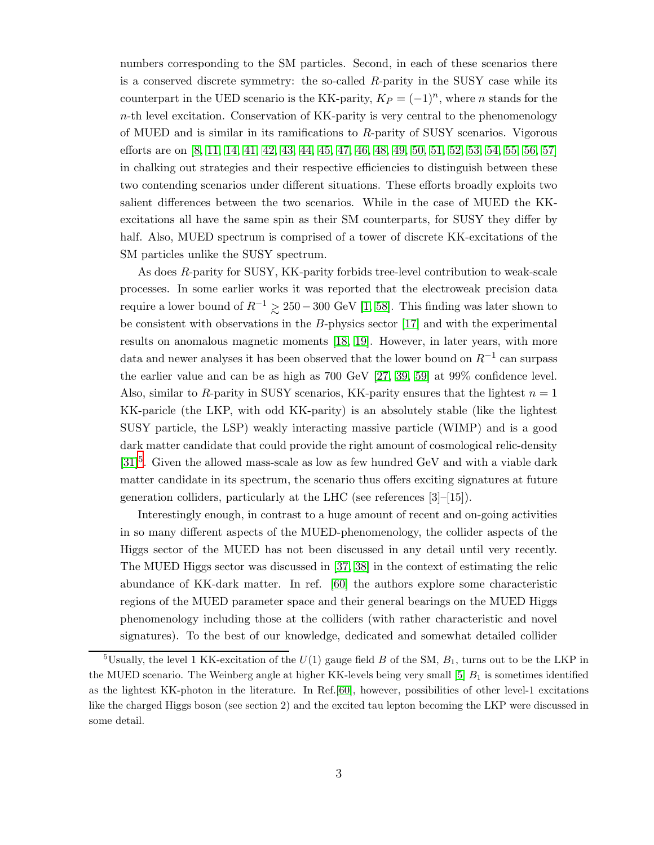numbers corresponding to the SM particles. Second, in each of these scenarios there is a conserved discrete symmetry: the so-called  $R$ -parity in the SUSY case while its counterpart in the UED scenario is the KK-parity,  $K_P = (-1)^n$ , where n stands for the n-th level excitation. Conservation of KK-parity is very central to the phenomenology of MUED and is similar in its ramifications to  $R$ -parity of SUSY scenarios. Vigorous efforts are on [\[8,](#page-21-7) [11,](#page-21-10) [14,](#page-21-13) [41,](#page-23-2) [42,](#page-23-3) [43,](#page-23-4) [44,](#page-23-5) [45,](#page-23-6) [47,](#page-23-7) [46,](#page-23-8) [48,](#page-23-9) [49,](#page-23-10) [50,](#page-23-11) [51,](#page-23-12) [52,](#page-23-13) [53,](#page-23-14) [54,](#page-23-15) [55,](#page-23-16) [56,](#page-23-17) [57\]](#page-23-18) in chalking out strategies and their respective efficiencies to distinguish between these two contending scenarios under different situations. These efforts broadly exploits two salient differences between the two scenarios. While in the case of MUED the KKexcitations all have the same spin as their SM counterparts, for SUSY they differ by half. Also, MUED spectrum is comprised of a tower of discrete KK-excitations of the SM particles unlike the SUSY spectrum.

As does R-parity for SUSY, KK-parity forbids tree-level contribution to weak-scale processes. In some earlier works it was reported that the electroweak precision data require a lower bound of  $R^{-1} \gtrsim 250 - 300 \text{ GeV}$  [\[1,](#page-21-0) [58\]](#page-23-19). This finding was later shown to be consistent with observations in the B-physics sector [\[17\]](#page-21-16) and with the experimental results on anomalous magnetic moments [\[18,](#page-21-17) [19\]](#page-21-18). However, in later years, with more data and newer analyses it has been observed that the lower bound on  $R^{-1}$  can surpass the earlier value and can be as high as 700 GeV [\[27,](#page-22-7) [39,](#page-23-0) [59\]](#page-24-0) at 99% confidence level. Also, similar to R-parity in SUSY scenarios, KK-parity ensures that the lightest  $n = 1$ KK-paricle (the LKP, with odd KK-parity) is an absolutely stable (like the lightest SUSY particle, the LSP) weakly interacting massive particle (WIMP) and is a good dark matter candidate that could provide the right amount of cosmological relic-density  $[31]$ <sup>[5](#page-2-0)</sup>. Given the allowed mass-scale as low as few hundred GeV and with a viable dark matter candidate in its spectrum, the scenario thus offers exciting signatures at future generation colliders, particularly at the LHC (see references [3]–[15]).

Interestingly enough, in contrast to a huge amount of recent and on-going activities in so many different aspects of the MUED-phenomenology, the collider aspects of the Higgs sector of the MUED has not been discussed in any detail until very recently. The MUED Higgs sector was discussed in [\[37,](#page-22-17) [38\]](#page-22-18) in the context of estimating the relic abundance of KK-dark matter. In ref. [\[60\]](#page-24-1) the authors explore some characteristic regions of the MUED parameter space and their general bearings on the MUED Higgs phenomenology including those at the colliders (with rather characteristic and novel signatures). To the best of our knowledge, dedicated and somewhat detailed collider

<span id="page-2-0"></span><sup>&</sup>lt;sup>5</sup>Usually, the level 1 KK-excitation of the  $U(1)$  gauge field B of the SM,  $B_1$ , turns out to be the LKP in the MUED scenario. The Weinberg angle at higher KK-levels being very small  $[5]$   $B<sub>1</sub>$  is sometimes identified as the lightest KK-photon in the literature. In Ref.[\[60\]](#page-24-1), however, possibilities of other level-1 excitations like the charged Higgs boson (see section 2) and the excited tau lepton becoming the LKP were discussed in some detail.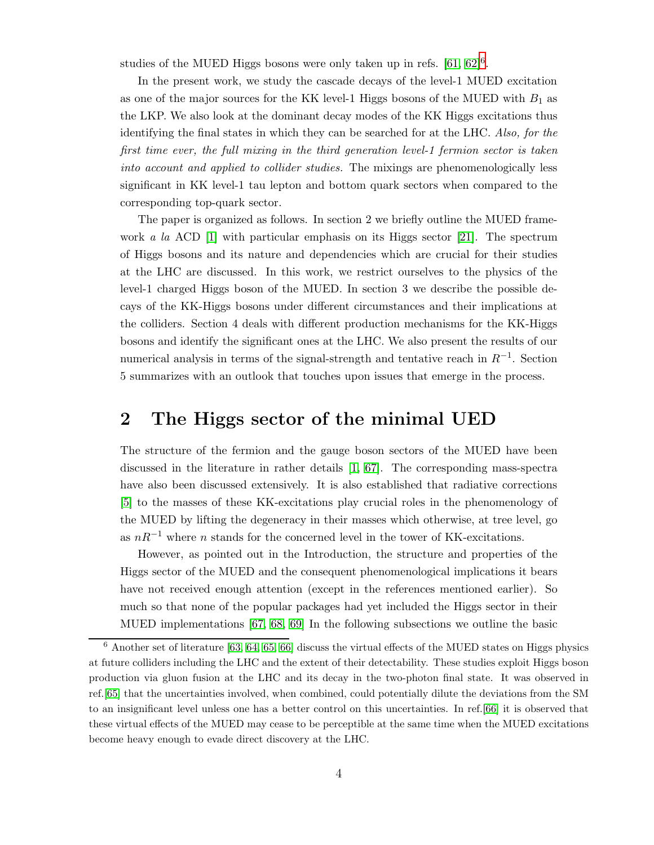studies of the MUED Higgs bosons were only taken up in refs.  $[61, 62]^{6}$  $[61, 62]^{6}$  $[61, 62]^{6}$  $[61, 62]^{6}$  $[61, 62]^{6}$ .

In the present work, we study the cascade decays of the level-1 MUED excitation as one of the major sources for the KK level-1 Higgs bosons of the MUED with  $B_1$  as the LKP. We also look at the dominant decay modes of the KK Higgs excitations thus identifying the final states in which they can be searched for at the LHC. Also, for the first time ever, the full mixing in the third generation level-1 fermion sector is taken into account and applied to collider studies. The mixings are phenomenologically less significant in KK level-1 tau lepton and bottom quark sectors when compared to the corresponding top-quark sector.

The paper is organized as follows. In section 2 we briefly outline the MUED framework a la ACD  $[1]$  with particular emphasis on its Higgs sector  $[21]$ . The spectrum of Higgs bosons and its nature and dependencies which are crucial for their studies at the LHC are discussed. In this work, we restrict ourselves to the physics of the level-1 charged Higgs boson of the MUED. In section 3 we describe the possible decays of the KK-Higgs bosons under different circumstances and their implications at the colliders. Section 4 deals with different production mechanisms for the KK-Higgs bosons and identify the significant ones at the LHC. We also present the results of our numerical analysis in terms of the signal-strength and tentative reach in  $R^{-1}$ . Section 5 summarizes with an outlook that touches upon issues that emerge in the process.

### 2 The Higgs sector of the minimal UED

The structure of the fermion and the gauge boson sectors of the MUED have been discussed in the literature in rather details [\[1,](#page-21-0) [67\]](#page-24-4). The corresponding mass-spectra have also been discussed extensively. It is also established that radiative corrections [\[5\]](#page-21-4) to the masses of these KK-excitations play crucial roles in the phenomenology of the MUED by lifting the degeneracy in their masses which otherwise, at tree level, go as  $nR^{-1}$  where n stands for the concerned level in the tower of KK-excitations.

However, as pointed out in the Introduction, the structure and properties of the Higgs sector of the MUED and the consequent phenomenological implications it bears have not received enough attention (except in the references mentioned earlier). So much so that none of the popular packages had yet included the Higgs sector in their MUED implementations [\[67,](#page-24-4) [68,](#page-24-5) [69\]](#page-24-6) In the following subsections we outline the basic

<span id="page-3-0"></span> $6$  Another set of literature [\[63,](#page-24-7) [64,](#page-24-8) [65,](#page-24-9) [66\]](#page-24-10) discuss the virtual effects of the MUED states on Higgs physics at future colliders including the LHC and the extent of their detectability. These studies exploit Higgs boson production via gluon fusion at the LHC and its decay in the two-photon final state. It was observed in ref.[\[65\]](#page-24-9) that the uncertainties involved, when combined, could potentially dilute the deviations from the SM to an insignificant level unless one has a better control on this uncertainties. In ref.[\[66\]](#page-24-10) it is observed that these virtual effects of the MUED may cease to be perceptible at the same time when the MUED excitations become heavy enough to evade direct discovery at the LHC.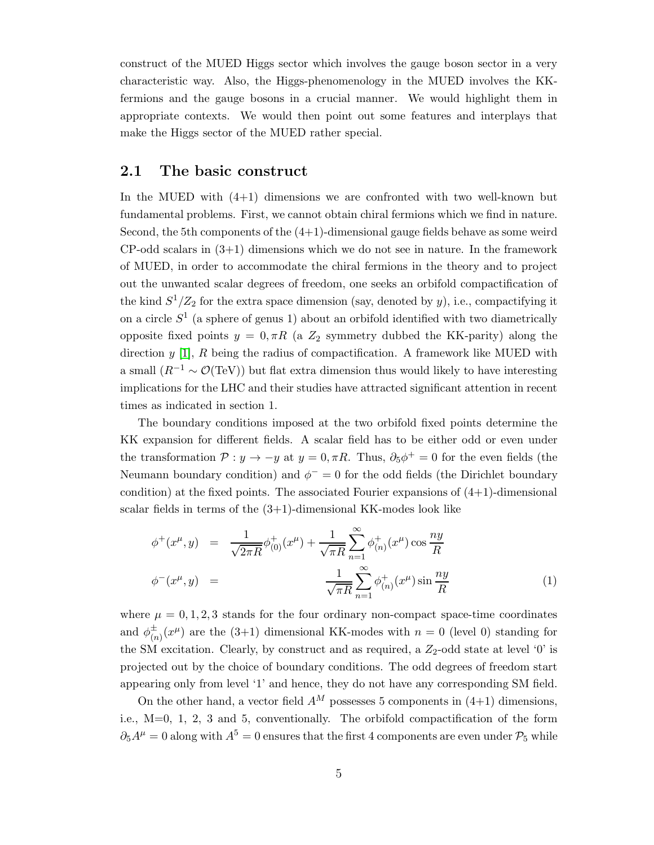construct of the MUED Higgs sector which involves the gauge boson sector in a very characteristic way. Also, the Higgs-phenomenology in the MUED involves the KKfermions and the gauge bosons in a crucial manner. We would highlight them in appropriate contexts. We would then point out some features and interplays that make the Higgs sector of the MUED rather special.

#### 2.1 The basic construct

In the MUED with  $(4+1)$  dimensions we are confronted with two well-known but fundamental problems. First, we cannot obtain chiral fermions which we find in nature. Second, the 5th components of the  $(4+1)$ -dimensional gauge fields behave as some weird  $CP$ -odd scalars in  $(3+1)$  dimensions which we do not see in nature. In the framework of MUED, in order to accommodate the chiral fermions in the theory and to project out the unwanted scalar degrees of freedom, one seeks an orbifold compactification of the kind  $S^1/Z_2$  for the extra space dimension (say, denoted by y), i.e., compactifying it on a circle  $S<sup>1</sup>$  (a sphere of genus 1) about an orbifold identified with two diametrically opposite fixed points  $y = 0, \pi R$  (a  $Z_2$  symmetry dubbed the KK-parity) along the direction  $y$  [\[1\]](#page-21-0),  $R$  being the radius of compactification. A framework like MUED with a small  $(R^{-1} \sim \mathcal{O}(\text{TeV})$ ) but flat extra dimension thus would likely to have interesting implications for the LHC and their studies have attracted significant attention in recent times as indicated in section 1.

The boundary conditions imposed at the two orbifold fixed points determine the KK expansion for different fields. A scalar field has to be either odd or even under the transformation  $P: y \to -y$  at  $y = 0, \pi R$ . Thus,  $\partial_5 \phi^+ = 0$  for the even fields (the Neumann boundary condition) and  $\phi^{-}=0$  for the odd fields (the Dirichlet boundary condition) at the fixed points. The associated Fourier expansions of  $(4+1)$ -dimensional scalar fields in terms of the  $(3+1)$ -dimensional KK-modes look like

<span id="page-4-0"></span>
$$
\phi^+(x^\mu, y) = \frac{1}{\sqrt{2\pi R}} \phi^+(0, x^\mu) + \frac{1}{\sqrt{\pi R}} \sum_{n=1}^\infty \phi^+(0, x^\mu) \cos \frac{ny}{R}
$$
  

$$
\phi^-(x^\mu, y) = \frac{1}{\sqrt{\pi R}} \sum_{n=1}^\infty \phi^+(0, x^\mu) \sin \frac{ny}{R}
$$
 (1)

where  $\mu = 0, 1, 2, 3$  stands for the four ordinary non-compact space-time coordinates and  $\phi_{(n)}^{\pm}(x^{\mu})$  are the (3+1) dimensional KK-modes with  $n=0$  (level 0) standing for the SM excitation. Clearly, by construct and as required, a  $Z_2$ -odd state at level '0' is projected out by the choice of boundary conditions. The odd degrees of freedom start appearing only from level '1' and hence, they do not have any corresponding SM field.

On the other hand, a vector field  $A^M$  possesses 5 components in (4+1) dimensions, i.e., M=0, 1, 2, 3 and 5, conventionally. The orbifold compactification of the form  $\partial_5 A^{\mu} = 0$  along with  $A^5 = 0$  ensures that the first 4 components are even under  $\mathcal{P}_5$  while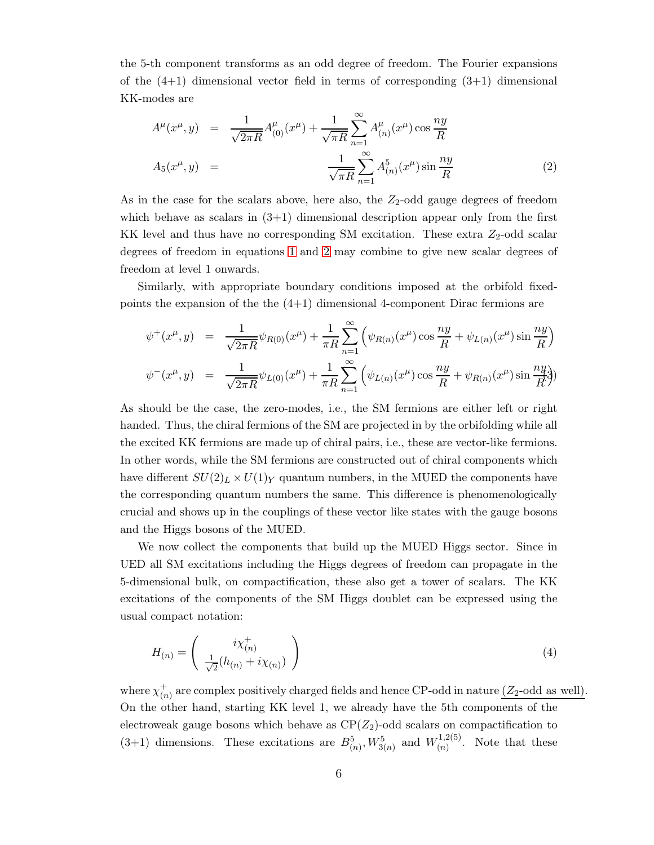the 5-th component transforms as an odd degree of freedom. The Fourier expansions of the  $(4+1)$  dimensional vector field in terms of corresponding  $(3+1)$  dimensional KK-modes are

<span id="page-5-0"></span>
$$
A^{\mu}(x^{\mu}, y) = \frac{1}{\sqrt{2\pi R}} A^{\mu}_{(0)}(x^{\mu}) + \frac{1}{\sqrt{\pi R}} \sum_{n=1}^{\infty} A^{\mu}_{(n)}(x^{\mu}) \cos \frac{ny}{R}
$$
  

$$
A_5(x^{\mu}, y) = \frac{1}{\sqrt{\pi R}} \sum_{n=1}^{\infty} A^5_{(n)}(x^{\mu}) \sin \frac{ny}{R}
$$
(2)

As in the case for the scalars above, here also, the  $Z_2$ -odd gauge degrees of freedom which behave as scalars in  $(3+1)$  dimensional description appear only from the first KK level and thus have no corresponding SM excitation. These extra  $Z_2$ -odd scalar degrees of freedom in equations [1](#page-4-0) and [2](#page-5-0) may combine to give new scalar degrees of freedom at level 1 onwards.

Similarly, with appropriate boundary conditions imposed at the orbifold fixedpoints the expansion of the the  $(4+1)$  dimensional 4-component Dirac fermions are

$$
\psi^+(x^\mu, y) = \frac{1}{\sqrt{2\pi R}} \psi_{R(0)}(x^\mu) + \frac{1}{\pi R} \sum_{n=1}^\infty \left( \psi_{R(n)}(x^\mu) \cos \frac{ny}{R} + \psi_{L(n)}(x^\mu) \sin \frac{ny}{R} \right)
$$
  

$$
\psi^-(x^\mu, y) = \frac{1}{\sqrt{2\pi R}} \psi_{L(0)}(x^\mu) + \frac{1}{\pi R} \sum_{n=1}^\infty \left( \psi_{L(n)}(x^\mu) \cos \frac{ny}{R} + \psi_{R(n)}(x^\mu) \sin \frac{ny}{R} \right)
$$

As should be the case, the zero-modes, i.e., the SM fermions are either left or right handed. Thus, the chiral fermions of the SM are projected in by the orbifolding while all the excited KK fermions are made up of chiral pairs, i.e., these are vector-like fermions. In other words, while the SM fermions are constructed out of chiral components which have different  $SU(2)_L \times U(1)_Y$  quantum numbers, in the MUED the components have the corresponding quantum numbers the same. This difference is phenomenologically crucial and shows up in the couplings of these vector like states with the gauge bosons and the Higgs bosons of the MUED.

We now collect the components that build up the MUED Higgs sector. Since in UED all SM excitations including the Higgs degrees of freedom can propagate in the 5-dimensional bulk, on compactification, these also get a tower of scalars. The KK excitations of the components of the SM Higgs doublet can be expressed using the usual compact notation:

$$
H_{(n)} = \begin{pmatrix} i\chi^+_{(n)} \\ \frac{1}{\sqrt{2}}(h_{(n)} + i\chi_{(n)}) \end{pmatrix}
$$
 (4)

where  $\chi^+_{\alpha}$  $_{(n)}^{+}$  are complex positively charged fields and hence CP-odd in nature  $(Z_2$ -odd as well). On the other hand, starting KK level 1, we already have the 5th components of the electroweak gauge bosons which behave as  $\mathbb{CP}(Z_2)$ -odd scalars on compactification to (3+1) dimensions. These excitations are  $B^5_{(n)}$ ,  $W^5_{3(n)}$  and  $W^{1,2(5)}_{(n)}$  $\binom{n}{n}$ . Note that these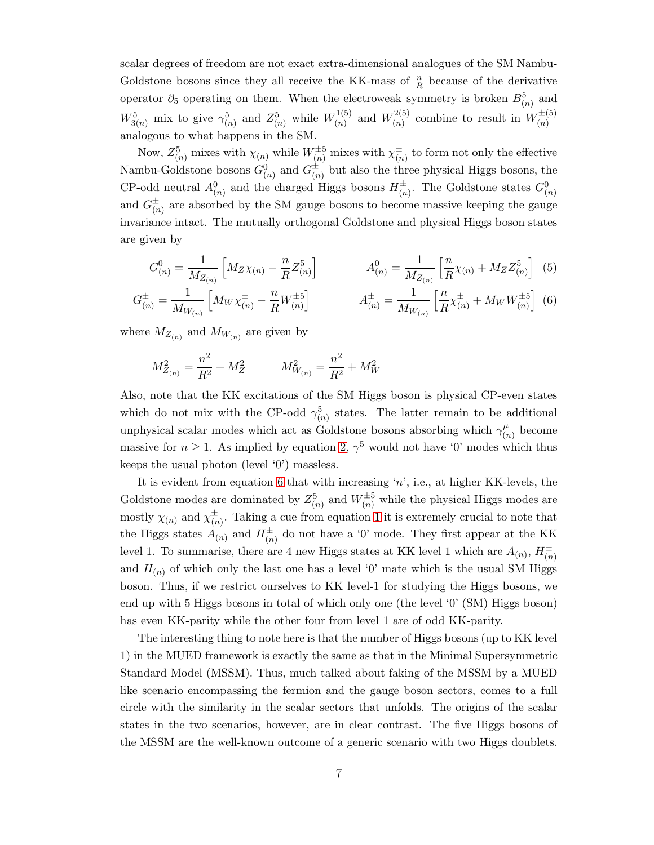scalar degrees of freedom are not exact extra-dimensional analogues of the SM Nambu-Goldstone bosons since they all receive the KK-mass of  $\frac{n}{R}$  because of the derivative operator  $\partial_5$  operating on them. When the electroweak symmetry is broken  $B^5_{(n)}$  and  $W_{3(n)}^{5}$  mix to give  $\gamma_{(n)}^{5}$  and  $Z_{(n)}^{5}$  while  $W_{(n)}^{1(5)}$  $\binom{1(5)}{(n)}$  and  $W_{(n)}^{2(5)}$  $\binom{2(5)}{(n)}$  combine to result in  $W_{(n)}^{\pm(5)}$ analogous to what happens in the SM.

Now,  $Z_{(n)}^5$  mixes with  $\chi_{(n)}$  while  $W_{(n)}^{\pm 5}$  mixes with  $\chi_{(n)}^{\pm}$  to form not only the effective Nambu-Goldstone bosons  $G^0_{(n)}$  and  $G^{\pm}_{(n)}$  but also the three physical Higgs bosons, the CP-odd neutral  $A_{(n)}^0$  and the charged Higgs bosons  $H_{(n)}^{\pm}$ . The Goldstone states  $G_{(n)}^0$ and  $G_{(n)}^{\pm}$  are absorbed by the SM gauge bosons to become massive keeping the gauge invariance intact. The mutually orthogonal Goldstone and physical Higgs boson states are given by

<span id="page-6-0"></span>
$$
G_{(n)}^0 = \frac{1}{M_{Z_{(n)}}} \left[ M_Z \chi_{(n)} - \frac{n}{R} Z_{(n)}^5 \right] \qquad A_{(n)}^0 = \frac{1}{M_{Z_{(n)}}} \left[ \frac{n}{R} \chi_{(n)} + M_Z Z_{(n)}^5 \right] \tag{5}
$$

$$
G_{(n)}^{\pm} = \frac{1}{M_{W_{(n)}}} \left[ M_W \chi_{(n)}^{\pm} - \frac{n}{R} W_{(n)}^{\pm 5} \right] \qquad A_{(n)}^{\pm} = \frac{1}{M_{W_{(n)}}} \left[ \frac{n}{R} \chi_{(n)}^{\pm} + M_W W_{(n)}^{\pm 5} \right] \tag{6}
$$

where  $M_{Z_{(n)}}$  and  $M_{W_{(n)}}$  are given by

$$
M_{Z_{(n)}}^2 = \frac{n^2}{R^2} + M_Z^2 \hspace{1cm} M_{W_{(n)}}^2 = \frac{n^2}{R^2} + M_W^2
$$

Also, note that the KK excitations of the SM Higgs boson is physical CP-even states which do not mix with the CP-odd  $\gamma_{(n)}^5$  states. The latter remain to be additional unphysical scalar modes which act as Goldstone bosons absorbing which  $\gamma^{\mu}_{\alpha}$  $\binom{\mu}{n}$  become massive for  $n \geq 1$ . As implied by equation [2,](#page-5-0)  $\gamma^5$  would not have '0' modes which thus keeps the usual photon (level '0') massless.

It is evident from equation [6](#page-6-0) that with increasing 'n', i.e., at higher KK-levels, the Goldstone modes are dominated by  $Z_{(n)}^5$  and  $W_{(n)}^{\pm 5}$  while the physical Higgs modes are mostly  $\chi_{(n)}$  and  $\chi_{(n)}^{\pm}$ . Taking a cue from equation [1](#page-4-0) it is extremely crucial to note that the Higgs states  $A_{(n)}$  and  $H_{(n)}^{\pm}$  do not have a '0' mode. They first appear at the KK level 1. To summarise, there are 4 new Higgs states at KK level 1 which are  $A_{(n)}, H_{(n)}^{\pm}$ and  $H_{(n)}$  of which only the last one has a level '0' mate which is the usual SM Higgs boson. Thus, if we restrict ourselves to KK level-1 for studying the Higgs bosons, we end up with 5 Higgs bosons in total of which only one (the level '0' (SM) Higgs boson) has even KK-parity while the other four from level 1 are of odd KK-parity.

The interesting thing to note here is that the number of Higgs bosons (up to KK level 1) in the MUED framework is exactly the same as that in the Minimal Supersymmetric Standard Model (MSSM). Thus, much talked about faking of the MSSM by a MUED like scenario encompassing the fermion and the gauge boson sectors, comes to a full circle with the similarity in the scalar sectors that unfolds. The origins of the scalar states in the two scenarios, however, are in clear contrast. The five Higgs bosons of the MSSM are the well-known outcome of a generic scenario with two Higgs doublets.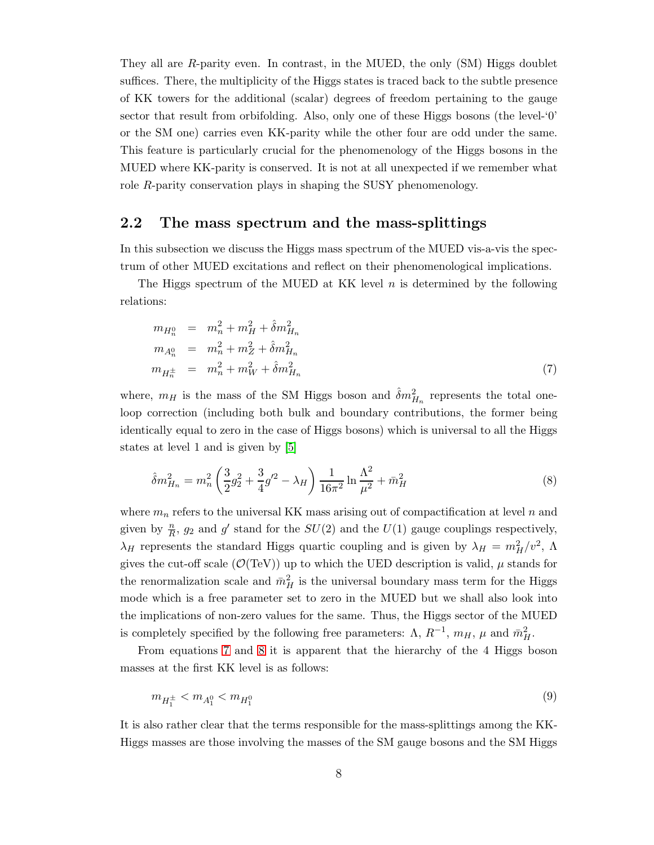They all are R-parity even. In contrast, in the MUED, the only (SM) Higgs doublet suffices. There, the multiplicity of the Higgs states is traced back to the subtle presence of KK towers for the additional (scalar) degrees of freedom pertaining to the gauge sector that result from orbifolding. Also, only one of these Higgs bosons (the level-'0' or the SM one) carries even KK-parity while the other four are odd under the same. This feature is particularly crucial for the phenomenology of the Higgs bosons in the MUED where KK-parity is conserved. It is not at all unexpected if we remember what role R-parity conservation plays in shaping the SUSY phenomenology.

#### 2.2 The mass spectrum and the mass-splittings

In this subsection we discuss the Higgs mass spectrum of the MUED vis-a-vis the spectrum of other MUED excitations and reflect on their phenomenological implications.

The Higgs spectrum of the MUED at KK level  $n$  is determined by the following relations:

<span id="page-7-0"></span>
$$
m_{H_n^0} = m_n^2 + m_H^2 + \hat{\delta}m_{H_n}^2
$$
  
\n
$$
m_{A_n^0} = m_n^2 + m_Z^2 + \hat{\delta}m_{H_n}^2
$$
  
\n
$$
m_{H_n^{\pm}} = m_n^2 + m_W^2 + \hat{\delta}m_{H_n}^2
$$
\n(7)

where,  $m_H$  is the mass of the SM Higgs boson and  $\hat{\delta}m_{H_n}^2$  represents the total oneloop correction (including both bulk and boundary contributions, the former being identically equal to zero in the case of Higgs bosons) which is universal to all the Higgs states at level 1 and is given by [\[5\]](#page-21-4)

<span id="page-7-1"></span>
$$
\hat{\delta}m_{H_n}^2 = m_n^2 \left(\frac{3}{2}g_2^2 + \frac{3}{4}g'^2 - \lambda_H\right) \frac{1}{16\pi^2} \ln\frac{\Lambda^2}{\mu^2} + m_H^2 \tag{8}
$$

where  $m_n$  refers to the universal KK mass arising out of compactification at level n and given by  $\frac{n}{R}$ ,  $g_2$  and  $g'$  stand for the  $SU(2)$  and the  $U(1)$  gauge couplings respectively,  $\lambda_H$  represents the standard Higgs quartic coupling and is given by  $\lambda_H = m_H^2/v^2$ ,  $\Lambda$ gives the cut-off scale  $(\mathcal{O}(TeV))$  up to which the UED description is valid,  $\mu$  stands for the renormalization scale and  $\bar{m}_H^2$  is the universal boundary mass term for the Higgs mode which is a free parameter set to zero in the MUED but we shall also look into the implications of non-zero values for the same. Thus, the Higgs sector of the MUED is completely specified by the following free parameters:  $\Lambda$ ,  $R^{-1}$ ,  $m_H$ ,  $\mu$  and  $\bar{m}_H^2$ .

From equations [7](#page-7-0) and [8](#page-7-1) it is apparent that the hierarchy of the 4 Higgs boson masses at the first KK level is as follows:

$$
m_{H_1^{\pm}} < m_{A_1^0} < m_{H_1^0}
$$
\n<sup>(9)</sup>

It is also rather clear that the terms responsible for the mass-splittings among the KK-Higgs masses are those involving the masses of the SM gauge bosons and the SM Higgs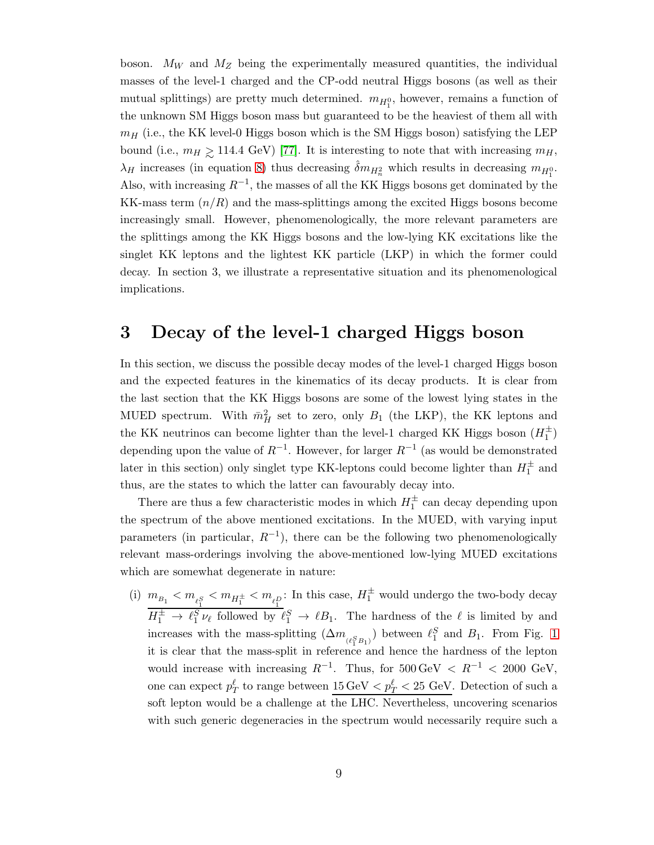boson.  $M_W$  and  $M_Z$  being the experimentally measured quantities, the individual masses of the level-1 charged and the CP-odd neutral Higgs bosons (as well as their mutual splittings) are pretty much determined.  $m_{H_1^0}$ , however, remains a function of the unknown SM Higgs boson mass but guaranteed to be the heaviest of them all with  $m_H$  (i.e., the KK level-0 Higgs boson which is the SM Higgs boson) satisfying the LEP bound (i.e.,  $m_H \ge 114.4$  GeV) [\[77\]](#page-24-11). It is interesting to note that with increasing  $m_H$ ,  $\lambda_H$  increases (in equation [8\)](#page-7-1) thus decreasing  $\hat{\delta}m_{H_n^2}$  which results in decreasing  $m_{H_1^0}$ . Also, with increasing  $R^{-1}$ , the masses of all the KK Higgs bosons get dominated by the KK-mass term  $(n/R)$  and the mass-splittings among the excited Higgs bosons become increasingly small. However, phenomenologically, the more relevant parameters are the splittings among the KK Higgs bosons and the low-lying KK excitations like the singlet KK leptons and the lightest KK particle (LKP) in which the former could decay. In section 3, we illustrate a representative situation and its phenomenological implications.

### 3 Decay of the level-1 charged Higgs boson

In this section, we discuss the possible decay modes of the level-1 charged Higgs boson and the expected features in the kinematics of its decay products. It is clear from the last section that the KK Higgs bosons are some of the lowest lying states in the MUED spectrum. With  $\bar{m}^2_H$  set to zero, only  $B_1$  (the LKP), the KK leptons and the KK neutrinos can become lighter than the level-1 charged KK Higgs boson  $(H_1^{\pm})$ depending upon the value of  $R^{-1}$ . However, for larger  $R^{-1}$  (as would be demonstrated later in this section) only singlet type KK-leptons could become lighter than  $H_1^{\pm}$  and thus, are the states to which the latter can favourably decay into.

There are thus a few characteristic modes in which  $H_1^{\pm}$  can decay depending upon the spectrum of the above mentioned excitations. In the MUED, with varying input parameters (in particular,  $R^{-1}$ ), there can be the following two phenomenologically relevant mass-orderings involving the above-mentioned low-lying MUED excitations which are somewhat degenerate in nature:

(i)  $m_{B_1} < m_{\ell_1^S} < m_{H_1^{\pm}} < m_{\ell_1^D}$ : In this case,  $H_1^{\pm}$  would undergo the two-body decay  $H_1^{\pm} \to \ell_1^S \nu_{\ell}$  followed by  $\ell_1^S \to \ell B_1$ . The hardness of the  $\ell$  is limited by and increases with the mass-splitting  $(\Delta m_{(\ell_1^S B_1)})$  between  $\ell_1^S$  and  $B_1$ . From Fig. [1](#page-9-0) it is clear that the mass-split in reference and hence the hardness of the lepton would increase with increasing  $R^{-1}$ . Thus, for  $500 \,\text{GeV} < R^{-1} < 2000 \,\text{GeV}$ , one can expect  $p_T^{\ell}$  to range between  $\underline{15\,\text{GeV}} < p_T^{\ell} < 25\,\text{GeV}$ . Detection of such a soft lepton would be a challenge at the LHC. Nevertheless, uncovering scenarios with such generic degeneracies in the spectrum would necessarily require such a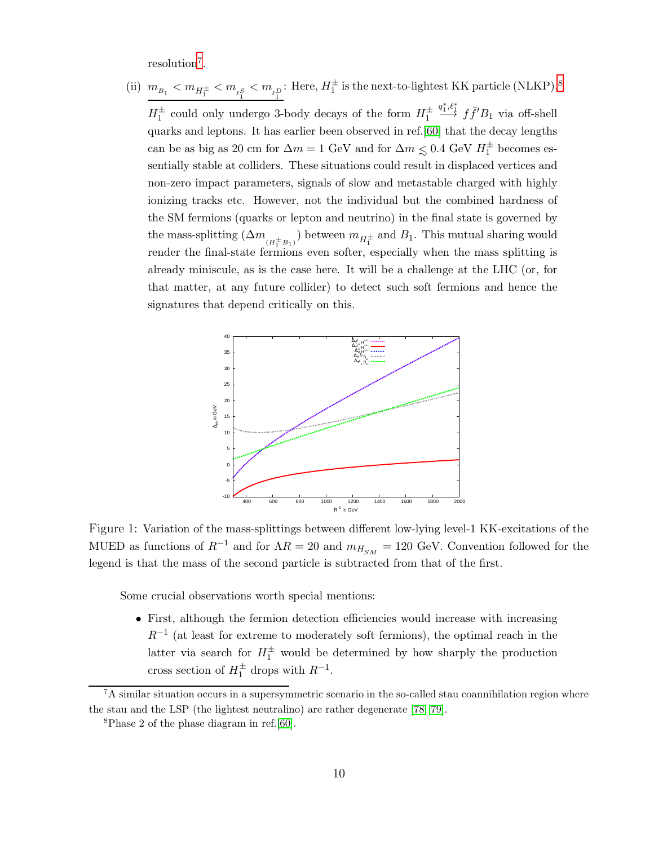resolution<sup>[7](#page-9-1)</sup>.

(ii)  $m_{B_1} < m_{H_1^{\pm}} < m_{\ell_1^S} < m_{\ell_1^D}$ : Here,  $H_1^{\pm}$  is the next-to-lightest KK particle (NLKP).<sup>[8](#page-9-2)</sup>  $H_1^{\pm}$  could only undergo 3-body decays of the form  $H_1^{\pm}$  $\stackrel{q_1^*,\ell_1^*}{\longrightarrow} f\bar{f}'B_1$  via off-shell quarks and leptons. It has earlier been observed in ref.[\[60\]](#page-24-1) that the decay lengths can be as big as 20 cm for  $\Delta m = 1$  GeV and for  $\Delta m \leq 0.4$  GeV  $H_1^{\pm}$  becomes essentially stable at colliders. These situations could result in displaced vertices and non-zero impact parameters, signals of slow and metastable charged with highly ionizing tracks etc. However, not the individual but the combined hardness of the SM fermions (quarks or lepton and neutrino) in the final state is governed by the mass-splitting  $(\Delta m_{(H_1^{\pm} B_1)})$  between  $m_{H_1^{\pm}}$  and  $B_1$ . This mutual sharing would render the final-state fermions even softer, especially when the mass splitting is already miniscule, as is the case here. It will be a challenge at the LHC (or, for that matter, at any future collider) to detect such soft fermions and hence the signatures that depend critically on this.



<span id="page-9-0"></span>Figure 1: Variation of the mass-splittings between different low-lying level-1 KK-excitations of the MUED as functions of  $R^{-1}$  and for  $\Lambda R = 20$  and  $m_{H_{SM}} = 120$  GeV. Convention followed for the legend is that the mass of the second particle is subtracted from that of the first.

Some crucial observations worth special mentions:

• First, although the fermion detection efficiencies would increase with increasing  $R^{-1}$  (at least for extreme to moderately soft fermions), the optimal reach in the latter via search for  $H_1^{\pm}$  would be determined by how sharply the production cross section of  $H_1^{\pm}$  drops with  $R^{-1}$ .

 $7A$  similar situation occurs in a supersymmetric scenario in the so-called stau coannihilation region where the stau and the LSP (the lightest neutralino) are rather degenerate [\[78,](#page-24-12) [79\]](#page-24-13).

<span id="page-9-2"></span><span id="page-9-1"></span><sup>8</sup>Phase 2 of the phase diagram in ref.[\[60\]](#page-24-1).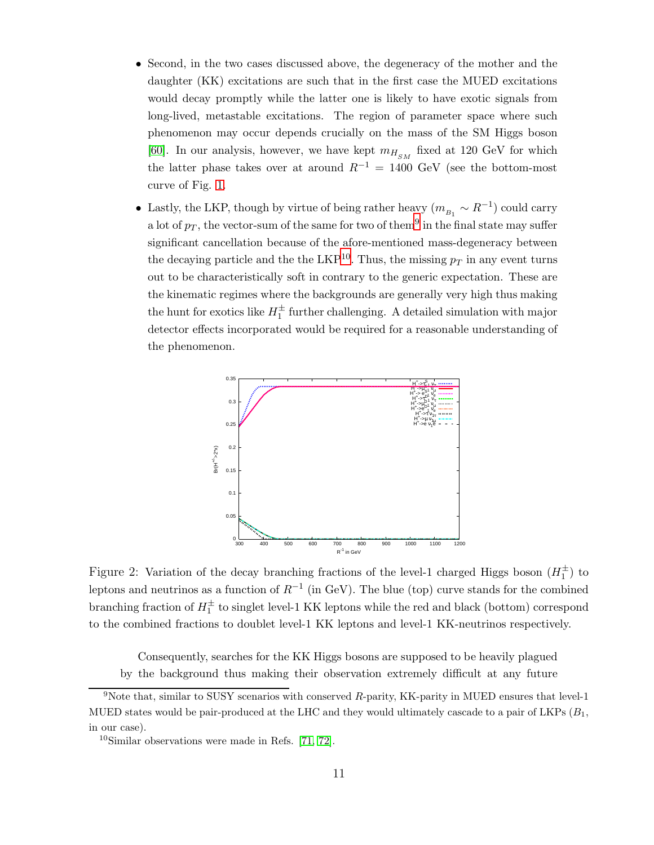- Second, in the two cases discussed above, the degeneracy of the mother and the daughter (KK) excitations are such that in the first case the MUED excitations would decay promptly while the latter one is likely to have exotic signals from long-lived, metastable excitations. The region of parameter space where such phenomenon may occur depends crucially on the mass of the SM Higgs boson [\[60\]](#page-24-1). In our analysis, however, we have kept  $m_{H_{SM}}$  fixed at 120 GeV for which the latter phase takes over at around  $R^{-1} = 1400 \text{ GeV}$  (see the bottom-most curve of Fig. [1.](#page-9-0)
- Lastly, the LKP, though by virtue of being rather heavy  $(m_{B_1} \sim R^{-1})$  could carry a lot of  $p_T$ , the vector-sum of the same for two of them<sup>[9](#page-10-0)</sup> in the final state may suffer significant cancellation because of the afore-mentioned mass-degeneracy between the decaying particle and the the LKP<sup>[10](#page-10-1)</sup>. Thus, the missing  $p_T$  in any event turns out to be characteristically soft in contrary to the generic expectation. These are the kinematic regimes where the backgrounds are generally very high thus making the hunt for exotics like  $H_1^{\pm}$  further challenging. A detailed simulation with major detector effects incorporated would be required for a reasonable understanding of the phenomenon.



<span id="page-10-2"></span>Figure 2: Variation of the decay branching fractions of the level-1 charged Higgs boson  $(H_1^{\pm})$  to leptons and neutrinos as a function of  $R^{-1}$  (in GeV). The blue (top) curve stands for the combined branching fraction of  $H_1^{\pm}$  to singlet level-1 KK leptons while the red and black (bottom) correspond to the combined fractions to doublet level-1 KK leptons and level-1 KK-neutrinos respectively.

Consequently, searches for the KK Higgs bosons are supposed to be heavily plagued by the background thus making their observation extremely difficult at any future

<span id="page-10-0"></span> $9N$ ote that, similar to SUSY scenarios with conserved R-parity, KK-parity in MUED ensures that level-1 MUED states would be pair-produced at the LHC and they would ultimately cascade to a pair of LKPs  $(B_1, B_2)$ in our case).

<span id="page-10-1"></span><sup>10</sup>Similar observations were made in Refs. [\[71,](#page-24-14) [72\]](#page-24-15).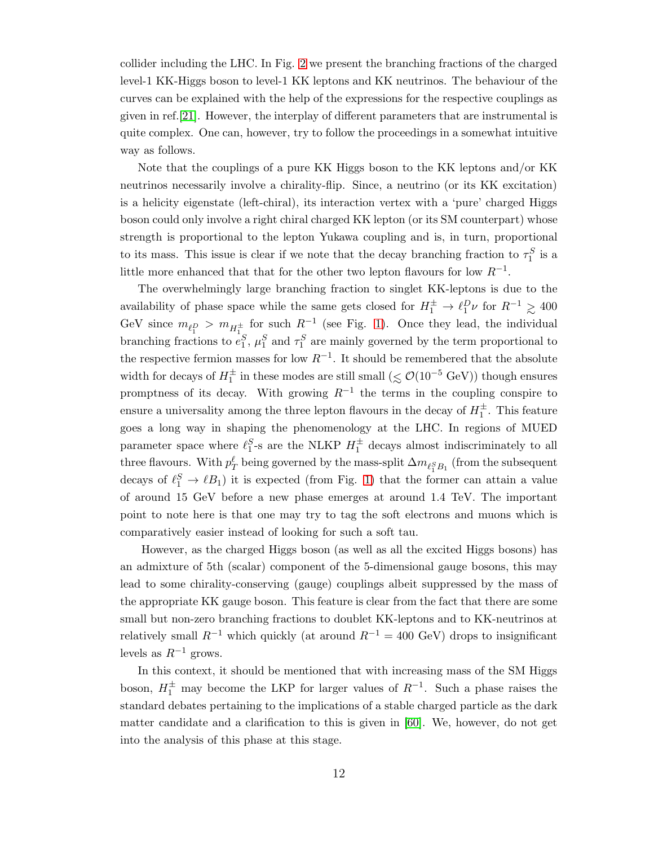collider including the LHC. In Fig. [2](#page-10-2) we present the branching fractions of the charged level-1 KK-Higgs boson to level-1 KK leptons and KK neutrinos. The behaviour of the curves can be explained with the help of the expressions for the respective couplings as given in ref.[\[21\]](#page-22-1). However, the interplay of different parameters that are instrumental is quite complex. One can, however, try to follow the proceedings in a somewhat intuitive way as follows.

Note that the couplings of a pure KK Higgs boson to the KK leptons and/or KK neutrinos necessarily involve a chirality-flip. Since, a neutrino (or its KK excitation) is a helicity eigenstate (left-chiral), its interaction vertex with a 'pure' charged Higgs boson could only involve a right chiral charged KK lepton (or its SM counterpart) whose strength is proportional to the lepton Yukawa coupling and is, in turn, proportional to its mass. This issue is clear if we note that the decay branching fraction to  $\tau_1^S$  is a little more enhanced that that for the other two lepton flavours for low  $R^{-1}$ .

The overwhelmingly large branching fraction to singlet KK-leptons is due to the availability of phase space while the same gets closed for  $H_1^{\pm} \to \ell_1^D \nu$  for  $R^{-1} \geq 400$ GeV since  $m_{\ell_1^D} > m_{H_1^{\pm}}$  for such  $R^{-1}$  (see Fig. [1\)](#page-9-0). Once they lead, the individual branching fractions to  $e_1^S$ ,  $\mu_1^S$  and  $\tau_1^S$  are mainly governed by the term proportional to the respective fermion masses for low  $R^{-1}$ . It should be remembered that the absolute width for decays of  $H_1^{\pm}$  in these modes are still small ( $\lesssim \mathcal{O}(10^{-5} \text{ GeV})$ ) though ensures promptness of its decay. With growing  $R^{-1}$  the terms in the coupling conspire to ensure a universality among the three lepton flavours in the decay of  $H_1^{\pm}$ . This feature goes a long way in shaping the phenomenology at the LHC. In regions of MUED parameter space where  $\ell_1^S$ -s are the NLKP  $H_1^{\pm}$  decays almost indiscriminately to all three flavours. With  $p_T^{\ell}$  being governed by the mass-split  $\Delta m_{\ell_1^S B_1}$  (from the subsequent decays of  $\ell_1^S \to \ell B_1$ ) it is expected (from Fig. [1\)](#page-9-0) that the former can attain a value of around 15 GeV before a new phase emerges at around 1.4 TeV. The important point to note here is that one may try to tag the soft electrons and muons which is comparatively easier instead of looking for such a soft tau.

However, as the charged Higgs boson (as well as all the excited Higgs bosons) has an admixture of 5th (scalar) component of the 5-dimensional gauge bosons, this may lead to some chirality-conserving (gauge) couplings albeit suppressed by the mass of the appropriate KK gauge boson. This feature is clear from the fact that there are some small but non-zero branching fractions to doublet KK-leptons and to KK-neutrinos at relatively small  $R^{-1}$  which quickly (at around  $R^{-1} = 400$  GeV) drops to insignificant levels as  $R^{-1}$  grows.

In this context, it should be mentioned that with increasing mass of the SM Higgs boson,  $H_1^{\pm}$  may become the LKP for larger values of  $R^{-1}$ . Such a phase raises the standard debates pertaining to the implications of a stable charged particle as the dark matter candidate and a clarification to this is given in [\[60\]](#page-24-1). We, however, do not get into the analysis of this phase at this stage.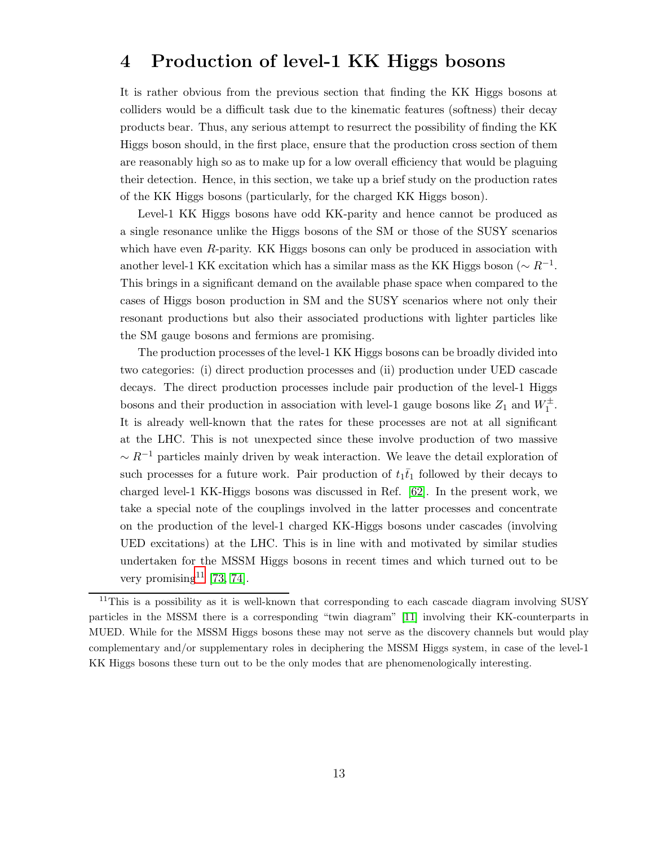## 4 Production of level-1 KK Higgs bosons

It is rather obvious from the previous section that finding the KK Higgs bosons at colliders would be a difficult task due to the kinematic features (softness) their decay products bear. Thus, any serious attempt to resurrect the possibility of finding the KK Higgs boson should, in the first place, ensure that the production cross section of them are reasonably high so as to make up for a low overall efficiency that would be plaguing their detection. Hence, in this section, we take up a brief study on the production rates of the KK Higgs bosons (particularly, for the charged KK Higgs boson).

Level-1 KK Higgs bosons have odd KK-parity and hence cannot be produced as a single resonance unlike the Higgs bosons of the SM or those of the SUSY scenarios which have even  $R$ -parity. KK Higgs bosons can only be produced in association with another level-1 KK excitation which has a similar mass as the KK Higgs boson ( $\sim R^{-1}$ . This brings in a significant demand on the available phase space when compared to the cases of Higgs boson production in SM and the SUSY scenarios where not only their resonant productions but also their associated productions with lighter particles like the SM gauge bosons and fermions are promising.

The production processes of the level-1 KK Higgs bosons can be broadly divided into two categories: (i) direct production processes and (ii) production under UED cascade decays. The direct production processes include pair production of the level-1 Higgs bosons and their production in association with level-1 gauge bosons like  $Z_1$  and  $W_1^{\pm}$ . It is already well-known that the rates for these processes are not at all significant at the LHC. This is not unexpected since these involve production of two massive  $\sim R^{-1}$  particles mainly driven by weak interaction. We leave the detail exploration of such processes for a future work. Pair production of  $t_1\bar{t}_1$  followed by their decays to charged level-1 KK-Higgs bosons was discussed in Ref. [\[62\]](#page-24-3). In the present work, we take a special note of the couplings involved in the latter processes and concentrate on the production of the level-1 charged KK-Higgs bosons under cascades (involving UED excitations) at the LHC. This is in line with and motivated by similar studies undertaken for the MSSM Higgs bosons in recent times and which turned out to be very promising<sup>[11](#page-12-0)</sup> [\[73,](#page-24-16) [74\]](#page-24-17).

<span id="page-12-0"></span><sup>&</sup>lt;sup>11</sup>This is a possibility as it is well-known that corresponding to each cascade diagram involving SUSY particles in the MSSM there is a corresponding "twin diagram" [\[11\]](#page-21-10) involving their KK-counterparts in MUED. While for the MSSM Higgs bosons these may not serve as the discovery channels but would play complementary and/or supplementary roles in deciphering the MSSM Higgs system, in case of the level-1 KK Higgs bosons these turn out to be the only modes that are phenomenologically interesting.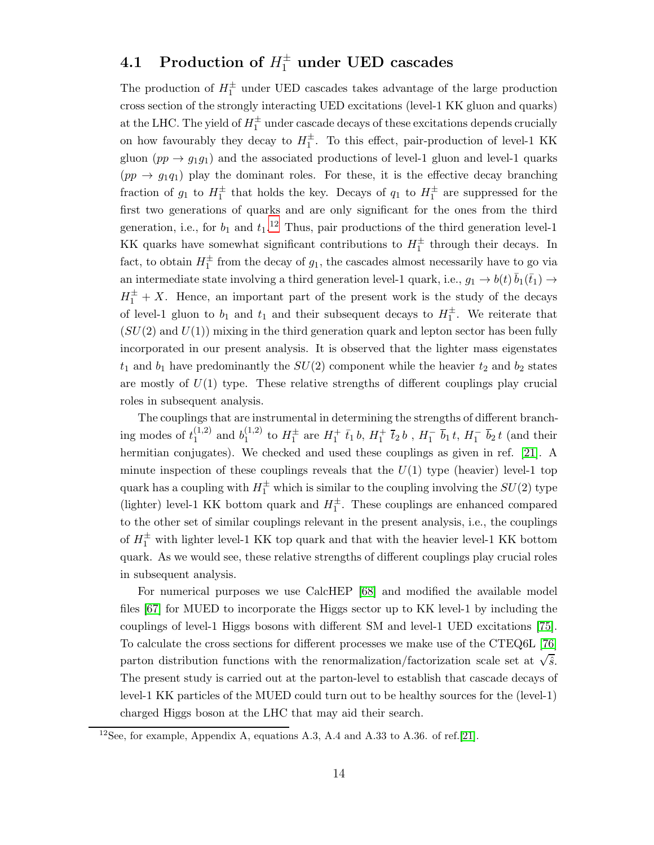# 4.1 Production of  $H_1^{\pm}$  under UED cascades

The production of  $H_1^{\pm}$  under UED cascades takes advantage of the large production cross section of the strongly interacting UED excitations (level-1 KK gluon and quarks) at the LHC. The yield of  $H_1^{\pm}$  under cascade decays of these excitations depends crucially on how favourably they decay to  $H_1^{\pm}$ . To this effect, pair-production of level-1 KK gluon  $(pp \to g_1g_1)$  and the associated productions of level-1 gluon and level-1 quarks  $(pp \to g_1q_1)$  play the dominant roles. For these, it is the effective decay branching fraction of  $g_1$  to  $H_1^{\pm}$  that holds the key. Decays of  $q_1$  to  $H_1^{\pm}$  are suppressed for the first two generations of quarks and are only significant for the ones from the third generation, i.e., for  $b_1$  and  $t_1$ .<sup>[12](#page-13-0)</sup> Thus, pair productions of the third generation level-1 KK quarks have somewhat significant contributions to  $H_1^{\pm}$  through their decays. In fact, to obtain  $H_1^{\pm}$  from the decay of  $g_1$ , the cascades almost necessarily have to go via an intermediate state involving a third generation level-1 quark, i.e.,  $g_1 \to b(t) \bar{b}_1(\bar{t}_1) \to$  $H_1^{\pm} + X$ . Hence, an important part of the present work is the study of the decays of level-1 gluon to  $b_1$  and  $t_1$  and their subsequent decays to  $H_1^{\pm}$ . We reiterate that  $(SU(2)$  and  $U(1)$ ) mixing in the third generation quark and lepton sector has been fully incorporated in our present analysis. It is observed that the lighter mass eigenstates  $t_1$  and  $b_1$  have predominantly the  $SU(2)$  component while the heavier  $t_2$  and  $b_2$  states are mostly of  $U(1)$  type. These relative strengths of different couplings play crucial roles in subsequent analysis.

The couplings that are instrumental in determining the strengths of different branching modes of  $t_1^{(1,2)}$  $_1^{(1,2)}$  and  $b_1^{(1,2)}$  $1^{(1,2)}$  to  $H_1^{\pm}$  are  $H_1^{+}$   $\bar{t}_1$  b,  $H_1^{+}$   $\bar{t}_2$  b,  $H_1^{-}$   $\bar{b}_1$  t,  $H_1^{-}$   $\bar{b}_2$  t (and their hermitian conjugates). We checked and used these couplings as given in ref. [\[21\]](#page-22-1). A minute inspection of these couplings reveals that the  $U(1)$  type (heavier) level-1 top quark has a coupling with  $H_1^{\pm}$  which is similar to the coupling involving the  $SU(2)$  type (lighter) level-1 KK bottom quark and  $H_1^{\pm}$ . These couplings are enhanced compared to the other set of similar couplings relevant in the present analysis, i.e., the couplings of  $H_1^{\pm}$  with lighter level-1 KK top quark and that with the heavier level-1 KK bottom quark. As we would see, these relative strengths of different couplings play crucial roles in subsequent analysis.

For numerical purposes we use CalcHEP [\[68\]](#page-24-5) and modified the available model files [\[67\]](#page-24-4) for MUED to incorporate the Higgs sector up to KK level-1 by including the couplings of level-1 Higgs bosons with different SM and level-1 UED excitations [\[75\]](#page-24-18). To calculate the cross sections for different processes we make use of the CTEQ6L [\[76\]](#page-24-19) parton distribution functions with the renormalization/factorization scale set at  $\sqrt{\hat{s}}$ . The present study is carried out at the parton-level to establish that cascade decays of level-1 KK particles of the MUED could turn out to be healthy sources for the (level-1) charged Higgs boson at the LHC that may aid their search.

<span id="page-13-0"></span> $12$ See, for example, Appendix A, equations A.3, A.4 and A.33 to A.36. of ref.[\[21\]](#page-22-1).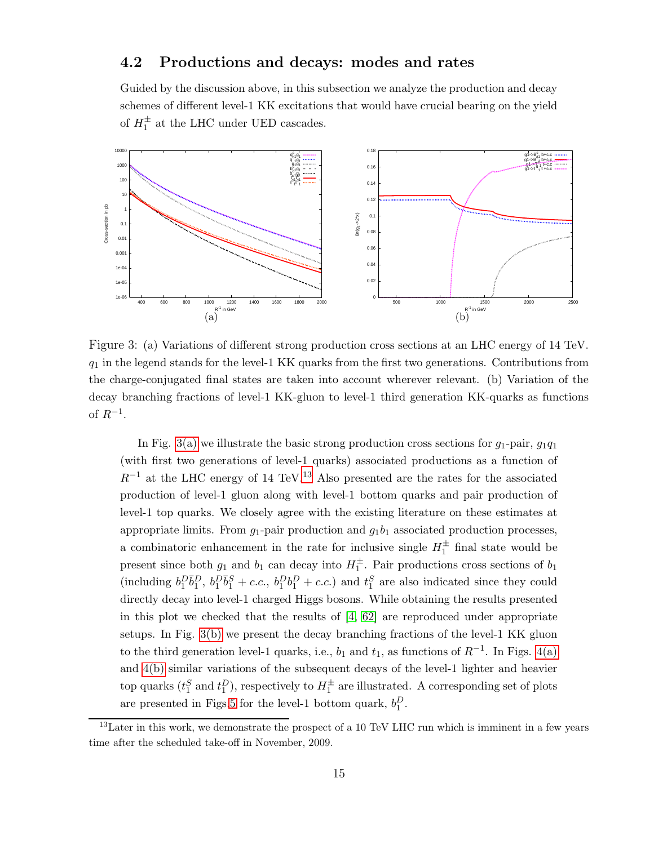#### 4.2 Productions and decays: modes and rates

<span id="page-14-2"></span>Guided by the discussion above, in this subsection we analyze the production and decay schemes of different level-1 KK excitations that would have crucial bearing on the yield of  $H_1^{\pm}$  at the LHC under UED cascades.

<span id="page-14-0"></span>

Figure 3: (a) Variations of different strong production cross sections at an LHC energy of 14 TeV.  $q_1$  in the legend stands for the level-1 KK quarks from the first two generations. Contributions from the charge-conjugated final states are taken into account wherever relevant. (b) Variation of the decay branching fractions of level-1 KK-gluon to level-1 third generation KK-quarks as functions of  $R^{-1}$ .

In Fig. [3\(a\)](#page-14-0) we illustrate the basic strong production cross sections for  $g_1$ -pair,  $g_1q_1$ (with first two generations of level-1 quarks) associated productions as a function of  $R^{-1}$  at the LHC energy of 14 TeV.<sup>[13](#page-14-1)</sup> Also presented are the rates for the associated production of level-1 gluon along with level-1 bottom quarks and pair production of level-1 top quarks. We closely agree with the existing literature on these estimates at appropriate limits. From  $g_1$ -pair production and  $g_1b_1$  associated production processes, a combinatoric enhancement in the rate for inclusive single  $H_1^{\pm}$  final state would be present since both  $g_1$  and  $b_1$  can decay into  $H_1^{\pm}$ . Pair productions cross sections of  $b_1$ (including  $b_1^D \bar{b}_1^D$ ,  $b_1^D \bar{b}_1^S + c.c.$ ,  $b_1^D b_1^D + c.c.$ ) and  $t_1^S$  are also indicated since they could directly decay into level-1 charged Higgs bosons. While obtaining the results presented in this plot we checked that the results of  $[4, 62]$  $[4, 62]$  are reproduced under appropriate setups. In Fig. [3\(b\)](#page-14-2) we present the decay branching fractions of the level-1 KK gluon to the third generation level-1 quarks, i.e.,  $b_1$  and  $t_1$ , as functions of  $R^{-1}$ . In Figs. [4\(a\)](#page-15-0) and [4\(b\)](#page-15-1) similar variations of the subsequent decays of the level-1 lighter and heavier top quarks  $(t_1^S \text{ and } t_1^D)$ , respectively to  $H_1^{\pm}$  are illustrated. A corresponding set of plots are presented in Figs[.5](#page-15-2) for the level-1 bottom quark,  $b_1^D$ .

<span id="page-14-1"></span> $13$ Later in this work, we demonstrate the prospect of a 10 TeV LHC run which is imminent in a few years time after the scheduled take-off in November, 2009.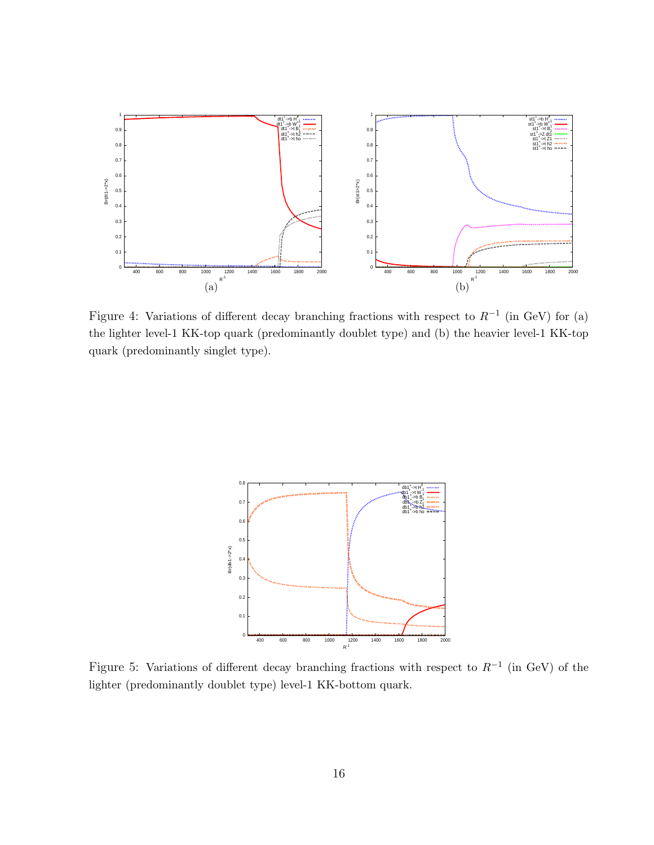<span id="page-15-1"></span><span id="page-15-0"></span>

Figure 4: Variations of different decay branching fractions with respect to  $R^{-1}$  (in GeV) for (a) the lighter level-1 KK-top quark (predominantly doublet type) and (b) the heavier level-1 KK-top quark (predominantly singlet type).



<span id="page-15-2"></span>Figure 5: Variations of different decay branching fractions with respect to  $R^{-1}$  (in GeV) of the lighter (predominantly doublet type) level-1 KK-bottom quark.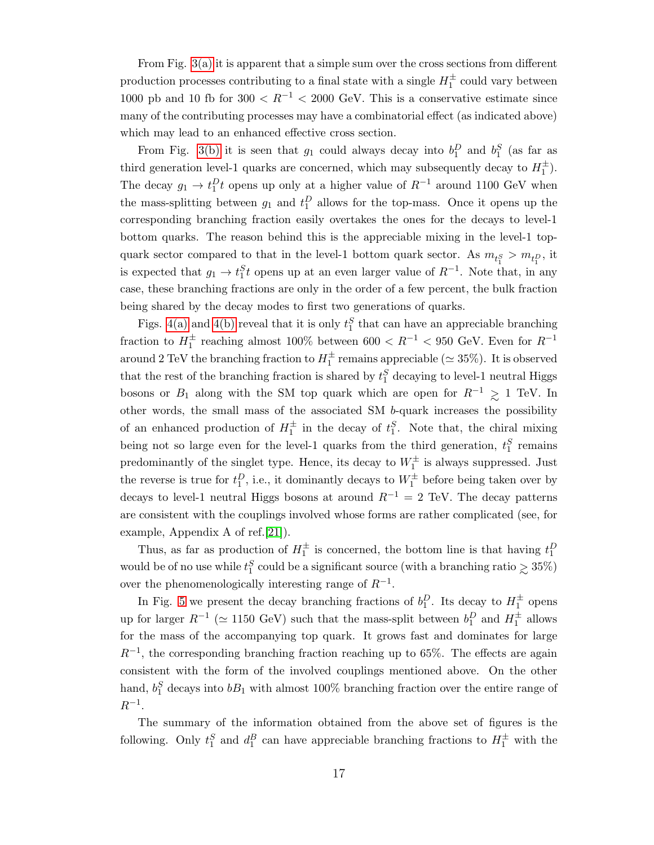From Fig. [3\(a\)](#page-14-0) it is apparent that a simple sum over the cross sections from different production processes contributing to a final state with a single  $H_1^{\pm}$  could vary between 1000 pb and 10 fb for  $300 < R^{-1} < 2000$  GeV. This is a conservative estimate since many of the contributing processes may have a combinatorial effect (as indicated above) which may lead to an enhanced effective cross section.

From Fig. [3\(b\)](#page-14-2) it is seen that  $g_1$  could always decay into  $b_1^D$  and  $b_1^S$  (as far as third generation level-1 quarks are concerned, which may subsequently decay to  $H_1^{\pm}$ ). The decay  $g_1 \to t_1^D t$  opens up only at a higher value of  $R^{-1}$  around 1100 GeV when the mass-splitting between  $g_1$  and  $t_1^D$  allows for the top-mass. Once it opens up the corresponding branching fraction easily overtakes the ones for the decays to level-1 bottom quarks. The reason behind this is the appreciable mixing in the level-1 topquark sector compared to that in the level-1 bottom quark sector. As  $m_{t_1^S} > m_{t_1^D}$ , it is expected that  $g_1 \to t_1^S t$  opens up at an even larger value of  $R^{-1}$ . Note that, in any case, these branching fractions are only in the order of a few percent, the bulk fraction being shared by the decay modes to first two generations of quarks.

Figs. [4\(a\)](#page-15-0) and [4\(b\)](#page-15-1) reveal that it is only  $t_1^S$  that can have an appreciable branching fraction to  $H_1^{\pm}$  reaching almost 100% between 600  $\lt R^{-1}$   $\lt$  950 GeV. Even for  $R^{-1}$ around 2 TeV the branching fraction to  $H_1^{\pm}$  remains appreciable ( $\simeq 35\%$ ). It is observed that the rest of the branching fraction is shared by  $t_1^S$  decaying to level-1 neutral Higgs bosons or  $B_1$  along with the SM top quark which are open for  $R^{-1} \geq 1$  TeV. In other words, the small mass of the associated SM b-quark increases the possibility of an enhanced production of  $H_1^{\pm}$  in the decay of  $t_1^S$ . Note that, the chiral mixing being not so large even for the level-1 quarks from the third generation,  $t_1^S$  remains predominantly of the singlet type. Hence, its decay to  $W_1^{\pm}$  is always suppressed. Just the reverse is true for  $t_1^D$ , i.e., it dominantly decays to  $W_1^{\pm}$  before being taken over by decays to level-1 neutral Higgs bosons at around  $R^{-1} = 2$  TeV. The decay patterns are consistent with the couplings involved whose forms are rather complicated (see, for example, Appendix A of ref.[\[21\]](#page-22-1)).

Thus, as far as production of  $H_1^{\pm}$  is concerned, the bottom line is that having  $t_1^D$ would be of no use while  $t_1^S$  could be a significant source (with a branching ratio  $\geq 35\%$ ) over the phenomenologically interesting range of  $R^{-1}$ .

In Fig. [5](#page-15-2) we present the decay branching fractions of  $b_1^D$ . Its decay to  $H_1^{\pm}$  opens up for larger  $R^{-1}$  ( $\simeq$  1150 GeV) such that the mass-split between  $b_1^D$  and  $H_1^{\pm}$  allows for the mass of the accompanying top quark. It grows fast and dominates for large  $R^{-1}$ , the corresponding branching fraction reaching up to 65%. The effects are again consistent with the form of the involved couplings mentioned above. On the other hand,  $b_1^S$  decays into  $bB_1$  with almost 100% branching fraction over the entire range of  $R^{-1}$ .

The summary of the information obtained from the above set of figures is the following. Only  $t_1^S$  and  $d_1^B$  can have appreciable branching fractions to  $H_1^{\pm}$  with the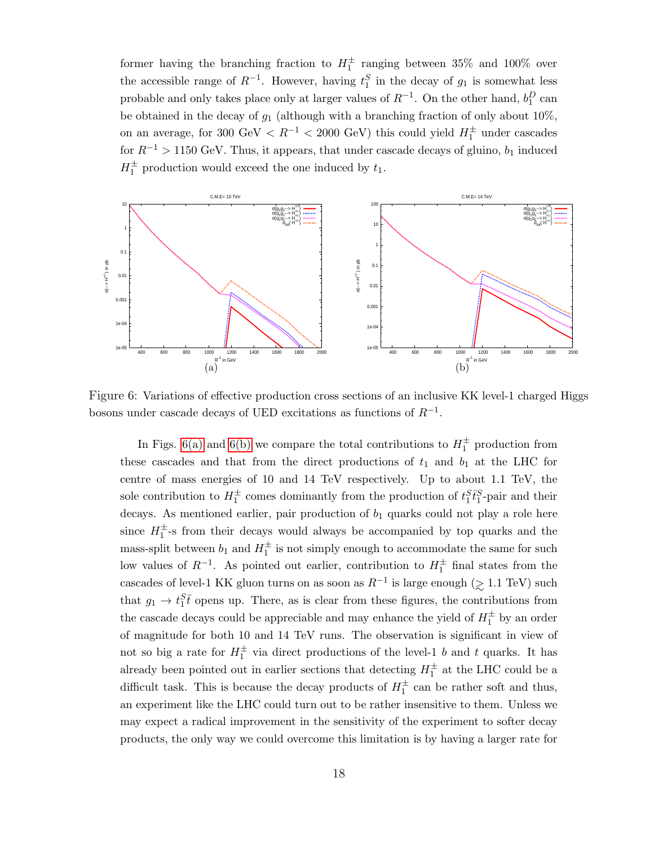<span id="page-17-1"></span>former having the branching fraction to  $H_1^{\pm}$  ranging between 35% and 100% over the accessible range of  $R^{-1}$ . However, having  $t_1^S$  in the decay of  $g_1$  is somewhat less probable and only takes place only at larger values of  $R^{-1}$ . On the other hand,  $b_1^D$  can be obtained in the decay of  $g_1$  (although with a branching fraction of only about 10%, on an average, for 300 GeV  $\langle R^{-1} \rangle$  = 2000 GeV) this could yield  $H_1^{\pm}$  under cascades for  $R^{-1} > 1150 \text{ GeV}$ . Thus, it appears, that under cascade decays of gluino,  $b_1$  induced  $H_1^{\pm}$  production would exceed the one induced by  $t_1$ .

<span id="page-17-0"></span>

Figure 6: Variations of effective production cross sections of an inclusive KK level-1 charged Higgs bosons under cascade decays of UED excitations as functions of  $R^{-1}$ .

In Figs. [6\(a\)](#page-17-0) and [6\(b\)](#page-17-1) we compare the total contributions to  $H_1^{\pm}$  production from these cascades and that from the direct productions of  $t_1$  and  $b_1$  at the LHC for centre of mass energies of 10 and 14 TeV respectively. Up to about 1.1 TeV, the sole contribution to  $H_1^{\pm}$  comes dominantly from the production of  $t_1^{S}$ <sup>t</sup><sub>1</sub><sup>S</sup><sub>1</sub>-pair and their decays. As mentioned earlier, pair production of  $b_1$  quarks could not play a role here since  $H_1^{\pm}$ -s from their decays would always be accompanied by top quarks and the mass-split between  $b_1$  and  $H_1^{\pm}$  is not simply enough to accommodate the same for such low values of  $R^{-1}$ . As pointed out earlier, contribution to  $H_1^{\pm}$  final states from the cascades of level-1 KK gluon turns on as soon as  $R^{-1}$  is large enough ( $\gtrsim 1.1$  TeV) such that  $g_1 \to t_1^S \bar{t}$  opens up. There, as is clear from these figures, the contributions from the cascade decays could be appreciable and may enhance the yield of  $H_1^{\pm}$  by an order of magnitude for both 10 and 14 TeV runs. The observation is significant in view of not so big a rate for  $H_1^{\pm}$  via direct productions of the level-1 b and t quarks. It has already been pointed out in earlier sections that detecting  $H_1^{\pm}$  at the LHC could be a difficult task. This is because the decay products of  $H_1^{\pm}$  can be rather soft and thus, an experiment like the LHC could turn out to be rather insensitive to them. Unless we may expect a radical improvement in the sensitivity of the experiment to softer decay products, the only way we could overcome this limitation is by having a larger rate for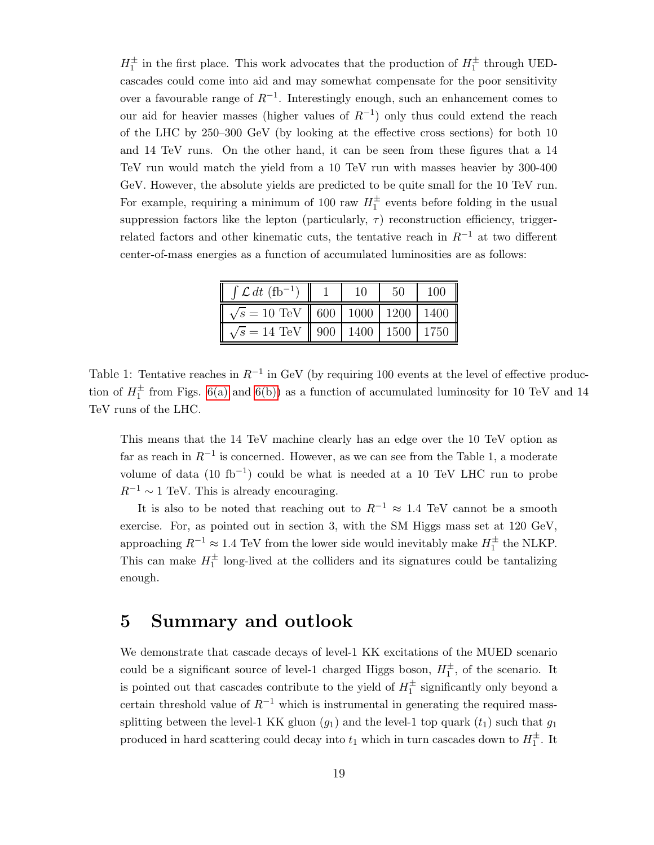$H_1^{\pm}$  in the first place. This work advocates that the production of  $H_1^{\pm}$  through UEDcascades could come into aid and may somewhat compensate for the poor sensitivity over a favourable range of  $R^{-1}$ . Interestingly enough, such an enhancement comes to our aid for heavier masses (higher values of  $R^{-1}$ ) only thus could extend the reach of the LHC by 250–300 GeV (by looking at the effective cross sections) for both 10 and 14 TeV runs. On the other hand, it can be seen from these figures that a 14 TeV run would match the yield from a 10 TeV run with masses heavier by 300-400 GeV. However, the absolute yields are predicted to be quite small for the 10 TeV run. For example, requiring a minimum of 100 raw  $H_1^{\pm}$  events before folding in the usual suppression factors like the lepton (particularly,  $\tau$ ) reconstruction efficiency, triggerrelated factors and other kinematic cuts, the tentative reach in  $R^{-1}$  at two different center-of-mass energies as a function of accumulated luminosities are as follows:

| $\int \mathcal{L} dt$ (fb <sup>-1</sup> )                                         |  | 50                       | 100 |
|-----------------------------------------------------------------------------------|--|--------------------------|-----|
| $\sqrt{s} = 10 \text{ TeV} \parallel 600 \mid 1000 \mid 1200 \mid 1400 \parallel$ |  |                          |     |
| $\sqrt{s} = 14$ TeV                                                               |  | 900   1400   1500   1750 |     |

Table 1: Tentative reaches in  $R^{-1}$  in GeV (by requiring 100 events at the level of effective production of  $H_1^{\pm}$  from Figs. [6\(a\)](#page-17-0) and [6\(b\)\)](#page-17-1) as a function of accumulated luminosity for 10 TeV and 14 TeV runs of the LHC.

This means that the 14 TeV machine clearly has an edge over the 10 TeV option as far as reach in  $R^{-1}$  is concerned. However, as we can see from the Table 1, a moderate volume of data (10 fb<sup>-1</sup>) could be what is needed at a 10 TeV LHC run to probe  $R^{-1} \sim 1$  TeV. This is already encouraging.

It is also to be noted that reaching out to  $R^{-1} \approx 1.4$  TeV cannot be a smooth exercise. For, as pointed out in section 3, with the SM Higgs mass set at 120 GeV, approaching  $R^{-1} \approx 1.4 \text{ TeV}$  from the lower side would inevitably make  $H_1^{\pm}$  the NLKP. This can make  $H_1^{\pm}$  long-lived at the colliders and its signatures could be tantalizing enough.

#### 5 Summary and outlook

We demonstrate that cascade decays of level-1 KK excitations of the MUED scenario could be a significant source of level-1 charged Higgs boson,  $H_1^{\pm}$ , of the scenario. It is pointed out that cascades contribute to the yield of  $H_1^{\pm}$  significantly only beyond a certain threshold value of  $R^{-1}$  which is instrumental in generating the required masssplitting between the level-1 KK gluon  $(g_1)$  and the level-1 top quark  $(t_1)$  such that  $g_1$ produced in hard scattering could decay into  $t_1$  which in turn cascades down to  $H_1^{\pm}$ . It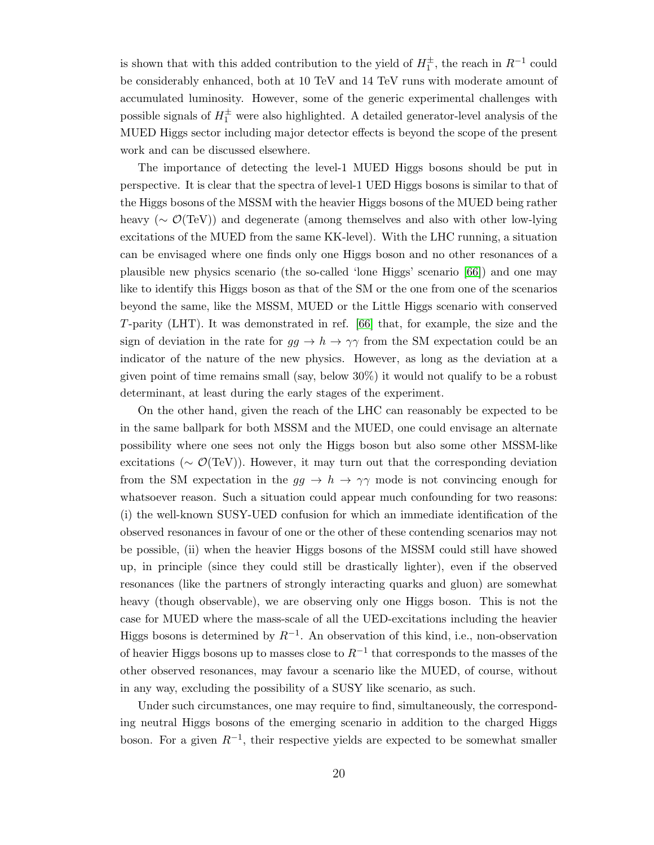is shown that with this added contribution to the yield of  $H_1^{\pm}$ , the reach in  $R^{-1}$  could be considerably enhanced, both at 10 TeV and 14 TeV runs with moderate amount of accumulated luminosity. However, some of the generic experimental challenges with possible signals of  $H_1^{\pm}$  were also highlighted. A detailed generator-level analysis of the MUED Higgs sector including major detector effects is beyond the scope of the present work and can be discussed elsewhere.

The importance of detecting the level-1 MUED Higgs bosons should be put in perspective. It is clear that the spectra of level-1 UED Higgs bosons is similar to that of the Higgs bosons of the MSSM with the heavier Higgs bosons of the MUED being rather heavy (∼ O(TeV)) and degenerate (among themselves and also with other low-lying excitations of the MUED from the same KK-level). With the LHC running, a situation can be envisaged where one finds only one Higgs boson and no other resonances of a plausible new physics scenario (the so-called 'lone Higgs' scenario [\[66\]](#page-24-10)) and one may like to identify this Higgs boson as that of the SM or the one from one of the scenarios beyond the same, like the MSSM, MUED or the Little Higgs scenario with conserved T-parity (LHT). It was demonstrated in ref. [\[66\]](#page-24-10) that, for example, the size and the sign of deviation in the rate for  $gg \to h \to \gamma\gamma$  from the SM expectation could be an indicator of the nature of the new physics. However, as long as the deviation at a given point of time remains small (say, below 30%) it would not qualify to be a robust determinant, at least during the early stages of the experiment.

On the other hand, given the reach of the LHC can reasonably be expected to be in the same ballpark for both MSSM and the MUED, one could envisage an alternate possibility where one sees not only the Higgs boson but also some other MSSM-like excitations ( $\sim \mathcal{O}(\text{TeV})$ ). However, it may turn out that the corresponding deviation from the SM expectation in the  $gg \to h \to \gamma\gamma$  mode is not convincing enough for whatsoever reason. Such a situation could appear much confounding for two reasons: (i) the well-known SUSY-UED confusion for which an immediate identification of the observed resonances in favour of one or the other of these contending scenarios may not be possible, (ii) when the heavier Higgs bosons of the MSSM could still have showed up, in principle (since they could still be drastically lighter), even if the observed resonances (like the partners of strongly interacting quarks and gluon) are somewhat heavy (though observable), we are observing only one Higgs boson. This is not the case for MUED where the mass-scale of all the UED-excitations including the heavier Higgs bosons is determined by  $R^{-1}$ . An observation of this kind, i.e., non-observation of heavier Higgs bosons up to masses close to  $R^{-1}$  that corresponds to the masses of the other observed resonances, may favour a scenario like the MUED, of course, without in any way, excluding the possibility of a SUSY like scenario, as such.

Under such circumstances, one may require to find, simultaneously, the corresponding neutral Higgs bosons of the emerging scenario in addition to the charged Higgs boson. For a given  $R^{-1}$ , their respective yields are expected to be somewhat smaller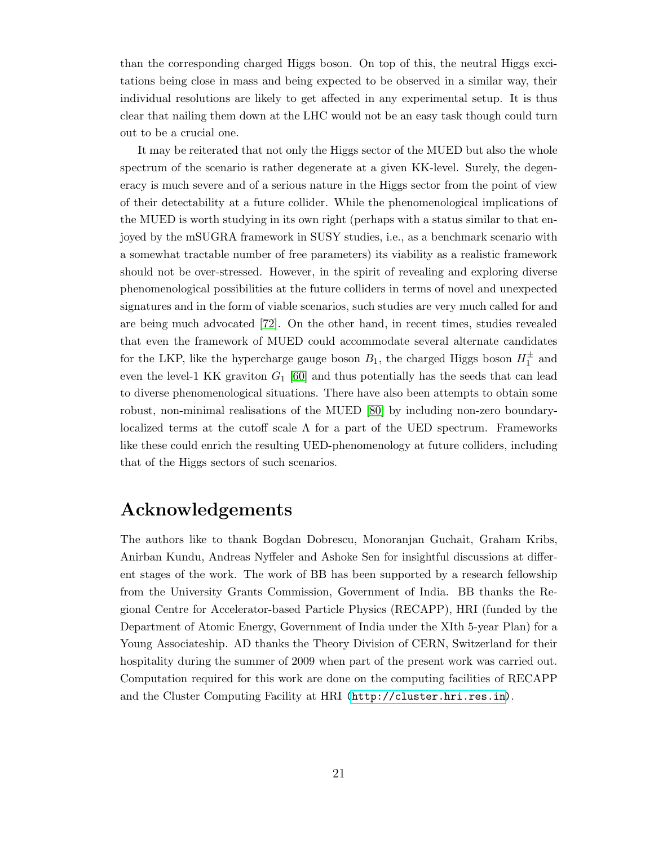than the corresponding charged Higgs boson. On top of this, the neutral Higgs excitations being close in mass and being expected to be observed in a similar way, their individual resolutions are likely to get affected in any experimental setup. It is thus clear that nailing them down at the LHC would not be an easy task though could turn out to be a crucial one.

It may be reiterated that not only the Higgs sector of the MUED but also the whole spectrum of the scenario is rather degenerate at a given KK-level. Surely, the degeneracy is much severe and of a serious nature in the Higgs sector from the point of view of their detectability at a future collider. While the phenomenological implications of the MUED is worth studying in its own right (perhaps with a status similar to that enjoyed by the mSUGRA framework in SUSY studies, i.e., as a benchmark scenario with a somewhat tractable number of free parameters) its viability as a realistic framework should not be over-stressed. However, in the spirit of revealing and exploring diverse phenomenological possibilities at the future colliders in terms of novel and unexpected signatures and in the form of viable scenarios, such studies are very much called for and are being much advocated [\[72\]](#page-24-15). On the other hand, in recent times, studies revealed that even the framework of MUED could accommodate several alternate candidates for the LKP, like the hypercharge gauge boson  $B_1$ , the charged Higgs boson  $H_1^{\pm}$  and even the level-1 KK graviton  $G_1$  [\[60\]](#page-24-1) and thus potentially has the seeds that can lead to diverse phenomenological situations. There have also been attempts to obtain some robust, non-minimal realisations of the MUED [\[80\]](#page-24-20) by including non-zero boundarylocalized terms at the cutoff scale  $\Lambda$  for a part of the UED spectrum. Frameworks like these could enrich the resulting UED-phenomenology at future colliders, including that of the Higgs sectors of such scenarios.

## Acknowledgements

The authors like to thank Bogdan Dobrescu, Monoranjan Guchait, Graham Kribs, Anirban Kundu, Andreas Nyffeler and Ashoke Sen for insightful discussions at different stages of the work. The work of BB has been supported by a research fellowship from the University Grants Commission, Government of India. BB thanks the Regional Centre for Accelerator-based Particle Physics (RECAPP), HRI (funded by the Department of Atomic Energy, Government of India under the XIth 5-year Plan) for a Young Associateship. AD thanks the Theory Division of CERN, Switzerland for their hospitality during the summer of 2009 when part of the present work was carried out. Computation required for this work are done on the computing facilities of RECAPP and the Cluster Computing Facility at HRI [\(http://cluster.hri.res.in\)](http://cluster.hri.res.in).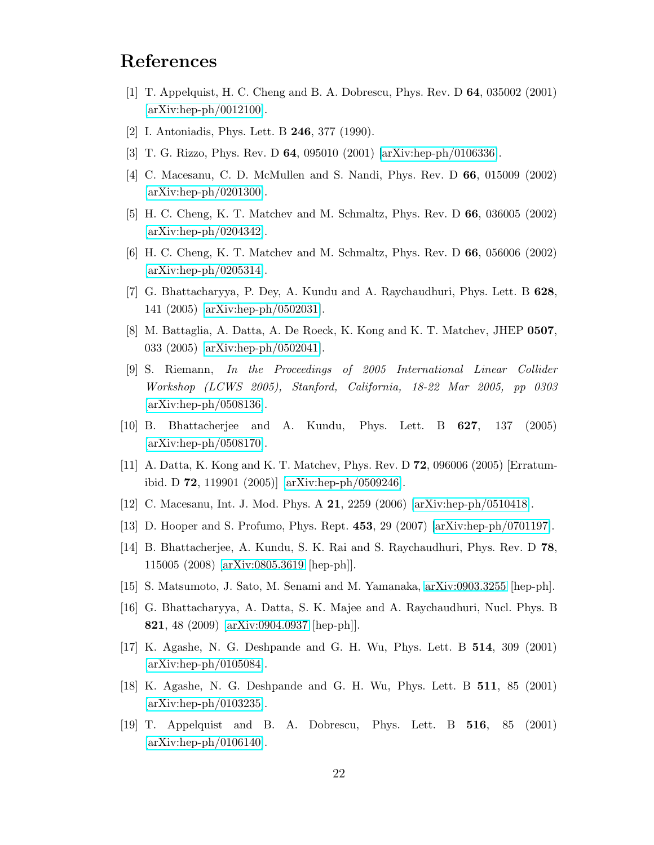# <span id="page-21-0"></span>References

- <span id="page-21-1"></span>[1] T. Appelquist, H. C. Cheng and B. A. Dobrescu, Phys. Rev. D 64, 035002 (2001) [\[arXiv:hep-ph/0012100\]](http://arxiv.org/abs/hep-ph/0012100).
- <span id="page-21-2"></span>[2] I. Antoniadis, Phys. Lett. B 246, 377 (1990).
- <span id="page-21-3"></span>[3] T. G. Rizzo, Phys. Rev. D 64, 095010 (2001) [\[arXiv:hep-ph/0106336\]](http://arxiv.org/abs/hep-ph/0106336).
- <span id="page-21-4"></span>[4] C. Macesanu, C. D. McMullen and S. Nandi, Phys. Rev. D 66, 015009 (2002) [\[arXiv:hep-ph/0201300\]](http://arxiv.org/abs/hep-ph/0201300).
- <span id="page-21-5"></span>[5] H. C. Cheng, K. T. Matchev and M. Schmaltz, Phys. Rev. D 66, 036005 (2002) [\[arXiv:hep-ph/0204342\]](http://arxiv.org/abs/hep-ph/0204342).
- <span id="page-21-6"></span>[6] H. C. Cheng, K. T. Matchev and M. Schmaltz, Phys. Rev. D 66, 056006 (2002) [\[arXiv:hep-ph/0205314\]](http://arxiv.org/abs/hep-ph/0205314).
- <span id="page-21-7"></span>[7] G. Bhattacharyya, P. Dey, A. Kundu and A. Raychaudhuri, Phys. Lett. B 628, 141 (2005) [\[arXiv:hep-ph/0502031\]](http://arxiv.org/abs/hep-ph/0502031).
- <span id="page-21-8"></span>[8] M. Battaglia, A. Datta, A. De Roeck, K. Kong and K. T. Matchev, JHEP 0507, 033 (2005) [\[arXiv:hep-ph/0502041\]](http://arxiv.org/abs/hep-ph/0502041).
- [9] S. Riemann, In the Proceedings of 2005 International Linear Collider Workshop (LCWS 2005), Stanford, California, 18-22 Mar 2005, pp 0303 [\[arXiv:hep-ph/0508136\]](http://arxiv.org/abs/hep-ph/0508136).
- <span id="page-21-10"></span><span id="page-21-9"></span>[10] B. Bhattacherjee and A. Kundu, Phys. Lett. B 627, 137 (2005)  $\arXiv:hep-ph/0508170$ .
- <span id="page-21-11"></span>[11] A. Datta, K. Kong and K. T. Matchev, Phys. Rev. D 72, 096006 (2005) [Erratumibid. D 72, 119901 (2005)] [\[arXiv:hep-ph/0509246\]](http://arxiv.org/abs/hep-ph/0509246).
- <span id="page-21-12"></span>[12] C. Macesanu, Int. J. Mod. Phys. A 21, 2259 (2006) [\[arXiv:hep-ph/0510418\]](http://arxiv.org/abs/hep-ph/0510418).
- <span id="page-21-13"></span>[13] D. Hooper and S. Profumo, Phys. Rept. 453, 29 (2007) [\[arXiv:hep-ph/0701197\]](http://arxiv.org/abs/hep-ph/0701197).
- <span id="page-21-14"></span>[14] B. Bhattacherjee, A. Kundu, S. K. Rai and S. Raychaudhuri, Phys. Rev. D 78, 115005 (2008) [\[arXiv:0805.3619](http://arxiv.org/abs/0805.3619) [hep-ph]].
- <span id="page-21-15"></span>[15] S. Matsumoto, J. Sato, M. Senami and M. Yamanaka, [arXiv:0903.3255](http://arxiv.org/abs/0903.3255) [hep-ph].
- <span id="page-21-16"></span>[16] G. Bhattacharyya, A. Datta, S. K. Majee and A. Raychaudhuri, Nucl. Phys. B 821, 48 (2009) [\[arXiv:0904.0937](http://arxiv.org/abs/0904.0937) [hep-ph]].
- <span id="page-21-17"></span>[17] K. Agashe, N. G. Deshpande and G. H. Wu, Phys. Lett. B 514, 309 (2001) [\[arXiv:hep-ph/0105084\]](http://arxiv.org/abs/hep-ph/0105084).
- <span id="page-21-18"></span>[18] K. Agashe, N. G. Deshpande and G. H. Wu, Phys. Lett. B 511, 85 (2001) [\[arXiv:hep-ph/0103235\]](http://arxiv.org/abs/hep-ph/0103235).
- [19] T. Appelquist and B. A. Dobrescu, Phys. Lett. B 516, 85 (2001) [\[arXiv:hep-ph/0106140\]](http://arxiv.org/abs/hep-ph/0106140).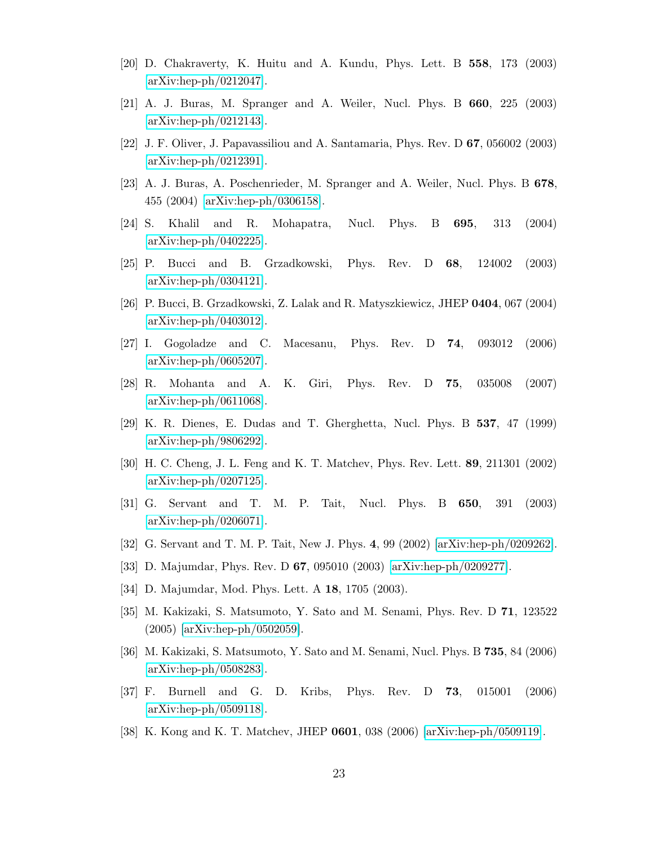- <span id="page-22-1"></span><span id="page-22-0"></span>[20] D. Chakraverty, K. Huitu and A. Kundu, Phys. Lett. B 558, 173 (2003) [\[arXiv:hep-ph/0212047\]](http://arxiv.org/abs/hep-ph/0212047).
- <span id="page-22-2"></span>[21] A. J. Buras, M. Spranger and A. Weiler, Nucl. Phys. B 660, 225 (2003) [\[arXiv:hep-ph/0212143\]](http://arxiv.org/abs/hep-ph/0212143).
- <span id="page-22-3"></span>[22] J. F. Oliver, J. Papavassiliou and A. Santamaria, Phys. Rev. D 67, 056002 (2003) [\[arXiv:hep-ph/0212391\]](http://arxiv.org/abs/hep-ph/0212391).
- <span id="page-22-4"></span>[23] A. J. Buras, A. Poschenrieder, M. Spranger and A. Weiler, Nucl. Phys. B 678, 455 (2004) [\[arXiv:hep-ph/0306158\]](http://arxiv.org/abs/hep-ph/0306158).
- <span id="page-22-5"></span>[24] S. Khalil and R. Mohapatra, Nucl. Phys. B 695, 313 (2004) [\[arXiv:hep-ph/0402225\]](http://arxiv.org/abs/hep-ph/0402225).
- <span id="page-22-6"></span>[25] P. Bucci and B. Grzadkowski, Phys. Rev. D 68, 124002 (2003) [\[arXiv:hep-ph/0304121\]](http://arxiv.org/abs/hep-ph/0304121).
- <span id="page-22-7"></span>[26] P. Bucci, B. Grzadkowski, Z. Lalak and R. Matyszkiewicz, JHEP 0404, 067 (2004) [\[arXiv:hep-ph/0403012\]](http://arxiv.org/abs/hep-ph/0403012).
- <span id="page-22-8"></span>[27] I. Gogoladze and C. Macesanu, Phys. Rev. D 74, 093012 (2006) [\[arXiv:hep-ph/0605207\]](http://arxiv.org/abs/hep-ph/0605207).
- <span id="page-22-9"></span>[28] R. Mohanta and A. K. Giri, Phys. Rev. D 75, 035008 (2007) [\[arXiv:hep-ph/0611068\]](http://arxiv.org/abs/hep-ph/0611068).
- <span id="page-22-10"></span>[29] K. R. Dienes, E. Dudas and T. Gherghetta, Nucl. Phys. B 537, 47 (1999) [\[arXiv:hep-ph/9806292\]](http://arxiv.org/abs/hep-ph/9806292).
- <span id="page-22-11"></span>[30] H. C. Cheng, J. L. Feng and K. T. Matchev, Phys. Rev. Lett. 89, 211301 (2002) [\[arXiv:hep-ph/0207125\]](http://arxiv.org/abs/hep-ph/0207125).
- <span id="page-22-12"></span>[31] G. Servant and T. M. P. Tait, Nucl. Phys. B 650, 391 (2003) [\[arXiv:hep-ph/0206071\]](http://arxiv.org/abs/hep-ph/0206071).
- <span id="page-22-13"></span>[32] G. Servant and T. M. P. Tait, New J. Phys. 4, 99 (2002) [\[arXiv:hep-ph/0209262\]](http://arxiv.org/abs/hep-ph/0209262).
- <span id="page-22-14"></span>[33] D. Majumdar, Phys. Rev. D 67, 095010 (2003) [\[arXiv:hep-ph/0209277\]](http://arxiv.org/abs/hep-ph/0209277).
- <span id="page-22-15"></span>[34] D. Majumdar, Mod. Phys. Lett. A 18, 1705 (2003).
- <span id="page-22-16"></span>[35] M. Kakizaki, S. Matsumoto, Y. Sato and M. Senami, Phys. Rev. D 71, 123522 (2005) [\[arXiv:hep-ph/0502059\]](http://arxiv.org/abs/hep-ph/0502059).
- <span id="page-22-17"></span>[36] M. Kakizaki, S. Matsumoto, Y. Sato and M. Senami, Nucl. Phys. B 735, 84 (2006) [\[arXiv:hep-ph/0508283\]](http://arxiv.org/abs/hep-ph/0508283).
- <span id="page-22-18"></span>[37] F. Burnell and G. D. Kribs, Phys. Rev. D 73, 015001 (2006) [\[arXiv:hep-ph/0509118\]](http://arxiv.org/abs/hep-ph/0509118).
- [38] K. Kong and K. T. Matchev, JHEP 0601, 038 (2006) [\[arXiv:hep-ph/0509119\]](http://arxiv.org/abs/hep-ph/0509119).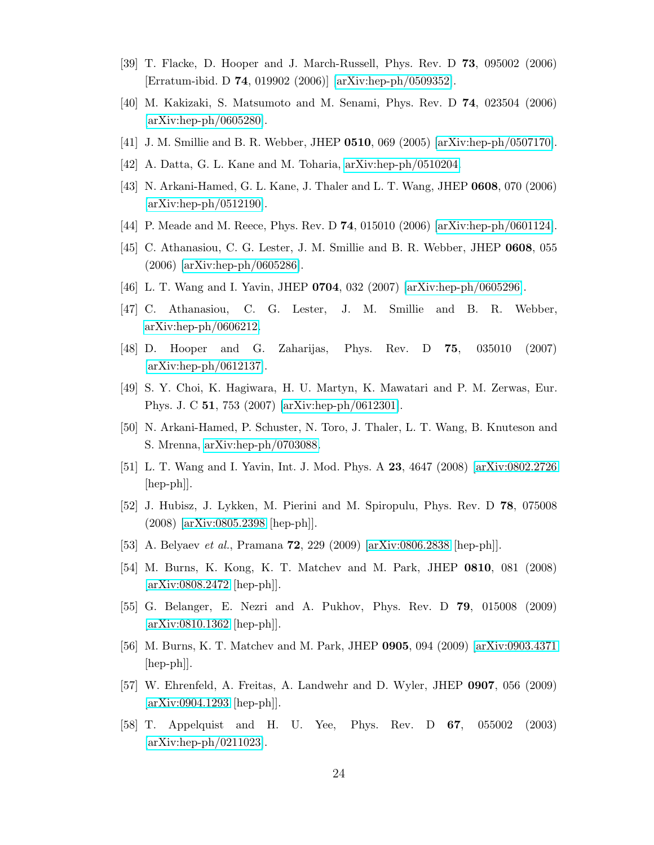- <span id="page-23-1"></span><span id="page-23-0"></span>[39] T. Flacke, D. Hooper and J. March-Russell, Phys. Rev. D 73, 095002 (2006) [Erratum-ibid. D 74, 019902 (2006)] [\[arXiv:hep-ph/0509352\]](http://arxiv.org/abs/hep-ph/0509352).
- <span id="page-23-2"></span>[40] M. Kakizaki, S. Matsumoto and M. Senami, Phys. Rev. D 74, 023504 (2006) [\[arXiv:hep-ph/0605280\]](http://arxiv.org/abs/hep-ph/0605280).
- <span id="page-23-3"></span>[41] J. M. Smillie and B. R. Webber, JHEP 0510, 069 (2005) [\[arXiv:hep-ph/0507170\]](http://arxiv.org/abs/hep-ph/0507170).
- <span id="page-23-4"></span>[42] A. Datta, G. L. Kane and M. Toharia, [arXiv:hep-ph/0510204.](http://arxiv.org/abs/hep-ph/0510204)
- <span id="page-23-5"></span>[43] N. Arkani-Hamed, G. L. Kane, J. Thaler and L. T. Wang, JHEP 0608, 070 (2006) [\[arXiv:hep-ph/0512190\]](http://arxiv.org/abs/hep-ph/0512190).
- <span id="page-23-6"></span>[44] P. Meade and M. Reece, Phys. Rev. D 74, 015010 (2006) [\[arXiv:hep-ph/0601124\]](http://arxiv.org/abs/hep-ph/0601124).
- <span id="page-23-8"></span>[45] C. Athanasiou, C. G. Lester, J. M. Smillie and B. R. Webber, JHEP 0608, 055 (2006) [\[arXiv:hep-ph/0605286\]](http://arxiv.org/abs/hep-ph/0605286).
- <span id="page-23-7"></span>[46] L. T. Wang and I. Yavin, JHEP 0704, 032 (2007) [\[arXiv:hep-ph/0605296\]](http://arxiv.org/abs/hep-ph/0605296).
- <span id="page-23-9"></span>[47] C. Athanasiou, C. G. Lester, J. M. Smillie and B. R. Webber, [arXiv:hep-ph/0606212.](http://arxiv.org/abs/hep-ph/0606212)
- <span id="page-23-10"></span>[48] D. Hooper and G. Zaharijas, Phys. Rev. D 75, 035010 (2007) [\[arXiv:hep-ph/0612137\]](http://arxiv.org/abs/hep-ph/0612137).
- <span id="page-23-11"></span>[49] S. Y. Choi, K. Hagiwara, H. U. Martyn, K. Mawatari and P. M. Zerwas, Eur. Phys. J. C 51, 753 (2007) [\[arXiv:hep-ph/0612301\]](http://arxiv.org/abs/hep-ph/0612301).
- <span id="page-23-12"></span>[50] N. Arkani-Hamed, P. Schuster, N. Toro, J. Thaler, L. T. Wang, B. Knuteson and S. Mrenna, [arXiv:hep-ph/0703088.](http://arxiv.org/abs/hep-ph/0703088)
- <span id="page-23-13"></span>[51] L. T. Wang and I. Yavin, Int. J. Mod. Phys. A 23, 4647 (2008) [\[arXiv:0802.2726](http://arxiv.org/abs/0802.2726) [hep-ph]].
- <span id="page-23-14"></span>[52] J. Hubisz, J. Lykken, M. Pierini and M. Spiropulu, Phys. Rev. D 78, 075008 (2008) [\[arXiv:0805.2398](http://arxiv.org/abs/0805.2398) [hep-ph]].
- <span id="page-23-15"></span>[53] A. Belyaev et al., Pramana 72, 229 (2009) [\[arXiv:0806.2838](http://arxiv.org/abs/0806.2838) [hep-ph]].
- <span id="page-23-16"></span>[54] M. Burns, K. Kong, K. T. Matchev and M. Park, JHEP 0810, 081 (2008) [\[arXiv:0808.2472](http://arxiv.org/abs/0808.2472) [hep-ph]].
- <span id="page-23-17"></span>[55] G. Belanger, E. Nezri and A. Pukhov, Phys. Rev. D 79, 015008 (2009) [\[arXiv:0810.1362](http://arxiv.org/abs/0810.1362) [hep-ph]].
- <span id="page-23-18"></span>[56] M. Burns, K. T. Matchev and M. Park, JHEP 0905, 094 (2009) [\[arXiv:0903.4371](http://arxiv.org/abs/0903.4371)  $\vert \text{hep-ph} \vert$ .
- <span id="page-23-19"></span>[57] W. Ehrenfeld, A. Freitas, A. Landwehr and D. Wyler, JHEP 0907, 056 (2009) [\[arXiv:0904.1293](http://arxiv.org/abs/0904.1293) [hep-ph]].
- [58] T. Appelquist and H. U. Yee, Phys. Rev. D 67, 055002 (2003) [\[arXiv:hep-ph/0211023\]](http://arxiv.org/abs/hep-ph/0211023).